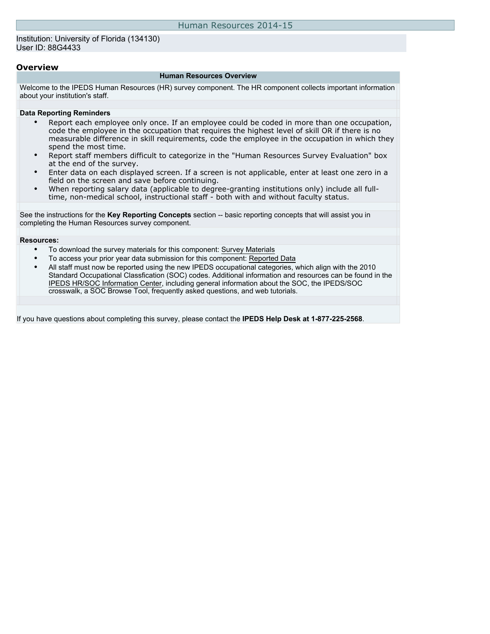### Institution: University of Florida (134130) User ID: 88G4433

### **Overview**

#### **Human Resources Overview**

Welcome to the IPEDS Human Resources (HR) survey component. The HR component collects important information about your institution's staff.

### **Data Reporting Reminders**

- Report each employee only once. If an employee could be coded in more than one occupation, code the employee in the occupation that requires the highest level of skill OR if there is no measurable difference in skill requirements, code the employee in the occupation in which they spend the most time.
- Report staff members difficult to categorize in the "Human Resources Survey Evaluation" box at the end of the survey.
- Enter data on each displayed screen. If a screen is not applicable, enter at least one zero in a field on the screen and save before continuing.
- When reporting salary data (applicable to degree-granting institutions only) include all fulltime, non-medical school, instructional staff - both with and without faculty status.

See the instructions for the **Key Reporting Concepts** section -- basic reporting concepts that will assist you in completing the Human Resources survey component.

### **Resources:**

- To download the survey materials for this component: [Survey Materials](https://surveys.nces.ed.gov/ipeds/VisIndex.aspx)
- To access your prior year data submission for this component: [Reported Data](https://surveys.nces.ed.gov/IPEDS/PriorYearDataRedirect.aspx?survey_id=1)
- All staff must now be reported using the new IPEDS occupational categories, which align with the 2010 Standard Occupational Classfication (SOC) codes. Additional information and resources can be found in the [IPEDS HR/SOC Information Center](http://nces.ed.gov/ipeds/resource/soc.asp), including general information about the SOC, the IPEDS/SOC crosswalk, a SOC Browse Tool, frequently asked questions, and web tutorials.

If you have questions about completing this survey, please contact the **IPEDS Help Desk at 1-877-225-2568**.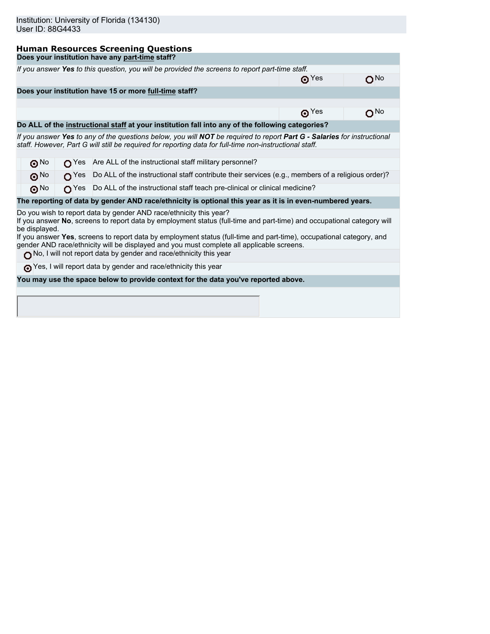I

# **Human Resources Screening Questions**

|               |                                 |                         | Does your institution have any part-time staff?                                                                                                                                                                                                                                                                                                                                                                   |             |          |
|---------------|---------------------------------|-------------------------|-------------------------------------------------------------------------------------------------------------------------------------------------------------------------------------------------------------------------------------------------------------------------------------------------------------------------------------------------------------------------------------------------------------------|-------------|----------|
|               |                                 |                         | If you answer Yes to this question, you will be provided the screens to report part-time staff.                                                                                                                                                                                                                                                                                                                   |             |          |
|               |                                 |                         |                                                                                                                                                                                                                                                                                                                                                                                                                   | $\odot$ Yes | ON∘      |
|               |                                 |                         | Does your institution have 15 or more full-time staff?                                                                                                                                                                                                                                                                                                                                                            |             |          |
|               |                                 |                         |                                                                                                                                                                                                                                                                                                                                                                                                                   |             |          |
|               |                                 |                         |                                                                                                                                                                                                                                                                                                                                                                                                                   | $\odot$ Yes | $O^{No}$ |
|               |                                 |                         | Do ALL of the instructional staff at your institution fall into any of the following categories?                                                                                                                                                                                                                                                                                                                  |             |          |
|               |                                 |                         | If you answer Yes to any of the questions below, you will NOT be required to report Part G - Salaries for instructional<br>staff. However, Part G will still be required for reporting data for full-time non-instructional staff.                                                                                                                                                                                |             |          |
|               |                                 |                         |                                                                                                                                                                                                                                                                                                                                                                                                                   |             |          |
|               | $\mathbf{\Theta}^{\mathsf{No}}$ | $\bigcap$ Yes           | Are ALL of the instructional staff military personnel?                                                                                                                                                                                                                                                                                                                                                            |             |          |
|               | $\odot$ No                      | $\Omega$ <sup>Yes</sup> | Do ALL of the instructional staff contribute their services (e.g., members of a religious order)?                                                                                                                                                                                                                                                                                                                 |             |          |
|               | $\odot^{\rm No}$                | $\bigcap$ Yes           | Do ALL of the instructional staff teach pre-clinical or clinical medicine?                                                                                                                                                                                                                                                                                                                                        |             |          |
|               |                                 |                         | The reporting of data by gender AND race/ethnicity is optional this year as it is in even-numbered years.                                                                                                                                                                                                                                                                                                         |             |          |
| be displayed. |                                 |                         | Do you wish to report data by gender AND race/ethnicity this year?<br>If you answer No, screens to report data by employment status (full-time and part-time) and occupational category will<br>If you answer Yes, screens to report data by employment status (full-time and part-time), occupational category, and<br>gender AND race/ethnicity will be displayed and you must complete all applicable screens. |             |          |
|               |                                 |                         | No, I will not report data by gender and race/ethnicity this year                                                                                                                                                                                                                                                                                                                                                 |             |          |
|               |                                 |                         |                                                                                                                                                                                                                                                                                                                                                                                                                   |             |          |
|               |                                 |                         | The Yes, I will report data by gender and race/ethnicity this year                                                                                                                                                                                                                                                                                                                                                |             |          |
|               |                                 |                         | You may use the space below to provide context for the data you've reported above.                                                                                                                                                                                                                                                                                                                                |             |          |
|               |                                 |                         |                                                                                                                                                                                                                                                                                                                                                                                                                   |             |          |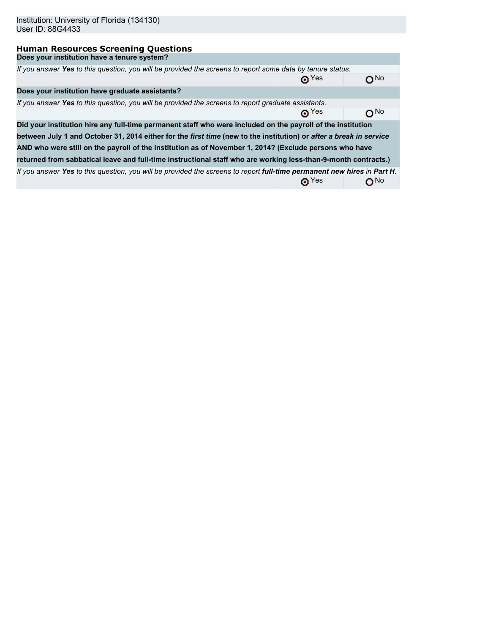| Institution: University of Florida (134130)<br>User ID: 88G4433                                                         |                                |     |
|-------------------------------------------------------------------------------------------------------------------------|--------------------------------|-----|
| <b>Human Resources Screening Questions</b>                                                                              |                                |     |
| Does your institution have a tenure system?                                                                             |                                |     |
| If you answer Yes to this question, you will be provided the screens to report some data by tenure status.              |                                |     |
|                                                                                                                         | $\odot$ Yes                    | א∩  |
| Does your institution have graduate assistants?                                                                         |                                |     |
| If you answer Yes to this question, you will be provided the screens to report graduate assistants.                     |                                |     |
|                                                                                                                         | $\mathbf{\Theta}^{\text{Yes}}$ | ∩™  |
| Did your institution hire any full-time permanent staff who were included on the payroll of the institution             |                                |     |
| between July 1 and October 31, 2014 either for the first time (new to the institution) or after a break in service      |                                |     |
| AND who were still on the payroll of the institution as of November 1, 2014? (Exclude persons who have                  |                                |     |
| returned from sabbatical leave and full-time instructional staff who are working less-than-9-month contracts.)          |                                |     |
| If you answer Yes to this question, you will be provided the screens to report full-time permanent new hires in Part H. |                                |     |
|                                                                                                                         | $\mathbf{\Theta}^{\text{Yes}}$ | ON⊙ |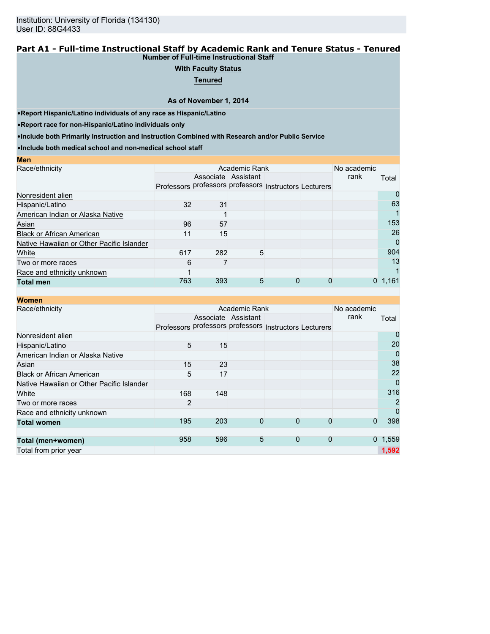### **Part A1 - Full-time Instructional Staff by Academic Rank and Tenure Status - Tenured Number of Full-time Instructional Staff**

# **With Faculty Status**

**Tenured**

**As of November 1, 2014**

•**Report Hispanic/Latino individuals of any race as Hispanic/Latino**

•**Report race for non-Hispanic/Latino individuals only**

**Men**

•**Include both Primarily Instruction and Instruction Combined with Research and/or Public Service**

•**Include both medical school and non-medical school staff**

|     |    |                 |                                               |                         | No academic  |                                                        |
|-----|----|-----------------|-----------------------------------------------|-------------------------|--------------|--------------------------------------------------------|
|     |    |                 |                                               |                         | rank         | Total                                                  |
|     |    |                 |                                               |                         |              |                                                        |
|     |    |                 |                                               |                         |              | O                                                      |
|     | 31 |                 |                                               |                         |              | 63                                                     |
|     |    |                 |                                               |                         |              |                                                        |
|     |    |                 |                                               |                         |              | 153                                                    |
| 11  |    |                 |                                               |                         |              | 26                                                     |
|     |    |                 |                                               |                         |              | 0                                                      |
|     |    |                 |                                               |                         |              | 904                                                    |
| 6   |    |                 |                                               |                         |              | 13                                                     |
|     |    |                 |                                               |                         |              |                                                        |
| 763 |    |                 | 0                                             | 0                       | $\mathbf{0}$ | 1,161                                                  |
|     |    | 32<br>96<br>617 | Associate Assistant<br>57<br>15<br>282<br>393 | Academic Rank<br>5<br>5 |              | Professors professors professors Instructors Lecturers |

| <b>Women</b>                              |                |     |                     |                                                        |              |             |             |
|-------------------------------------------|----------------|-----|---------------------|--------------------------------------------------------|--------------|-------------|-------------|
| Race/ethnicity                            |                |     | Academic Rank       |                                                        |              | No academic |             |
|                                           |                |     | Associate Assistant |                                                        |              | rank        | Total       |
|                                           |                |     |                     | Professors professors professors Instructors Lecturers |              |             |             |
| Nonresident alien                         |                |     |                     |                                                        |              |             | 0           |
| Hispanic/Latino                           | 5              | 15  |                     |                                                        |              |             | 20          |
| American Indian or Alaska Native          |                |     |                     |                                                        |              |             | 0           |
| Asian                                     | 15             | 23  |                     |                                                        |              |             | 38          |
| <b>Black or African American</b>          | 5              | 17  |                     |                                                        |              |             | 22          |
| Native Hawaiian or Other Pacific Islander |                |     |                     |                                                        |              |             | $\mathbf 0$ |
| White                                     | 168            | 148 |                     |                                                        |              |             | 316         |
| Two or more races                         | $\overline{2}$ |     |                     |                                                        |              |             | 2           |
| Race and ethnicity unknown                |                |     |                     |                                                        |              |             | 0           |
| <b>Total women</b>                        | 195            | 203 | 0                   | $\Omega$                                               | 0            | 0           | 398         |
|                                           |                |     |                     |                                                        |              |             |             |
| Total (men+women)                         | 958            | 596 | 5                   | $\mathbf{0}$                                           | $\mathbf{0}$ |             | 0, 1, 559   |
| Total from prior year                     |                |     |                     |                                                        |              |             | 1,592       |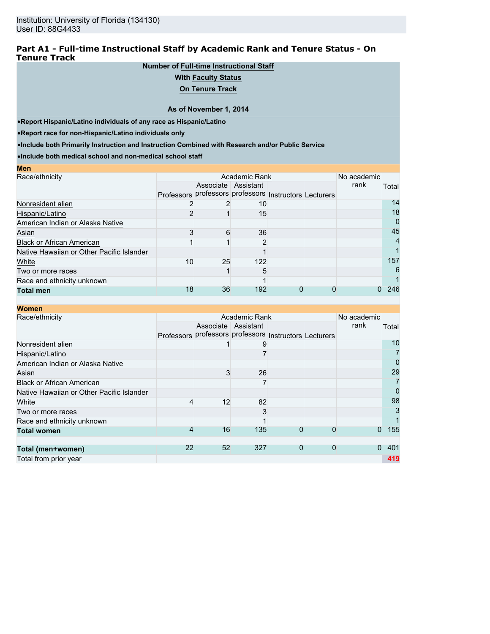### **Part A1 - Full-time Instructional Staff by Academic Rank and Tenure Status - On Tenure Track**

# **Number of Full-time Instructional Staff**

### **With Faculty Status**

**On Tenure Track**

### **As of November 1, 2014**

•**Report Hispanic/Latino individuals of any race as Hispanic/Latino**

•**Report race for non-Hispanic/Latino individuals only**

•**Include both Primarily Instruction and Instruction Combined with Research and/or Public Service**

•**Include both medical school and non-medical school staff**

| <b>Men</b>                                |                                                        |                     |               |  |             |       |
|-------------------------------------------|--------------------------------------------------------|---------------------|---------------|--|-------------|-------|
| Race/ethnicity                            |                                                        |                     | Academic Rank |  | No academic |       |
|                                           |                                                        | Associate Assistant |               |  | rank        | Total |
|                                           | Professors professors professors Instructors Lecturers |                     |               |  |             |       |
| Nonresident alien                         |                                                        |                     | 10            |  |             | 14    |
| Hispanic/Latino                           |                                                        |                     | 15            |  |             | 18    |
| American Indian or Alaska Native          |                                                        |                     |               |  |             | 0     |
| Asian                                     |                                                        | 6                   | 36            |  |             | 45    |
| <b>Black or African American</b>          |                                                        |                     | ົ             |  |             | 4     |
| Native Hawaiian or Other Pacific Islander |                                                        |                     |               |  |             |       |
| White                                     | 10                                                     | 25                  | 122           |  |             | 157   |
| Two or more races                         |                                                        |                     | 5             |  |             | 6     |
| Race and ethnicity unknown                |                                                        |                     |               |  |             |       |
| <b>Total men</b>                          | 18                                                     | 36                  | 192           |  |             | 246   |

| <b>Women</b>                              |                   |    |                                             |             |             |             |             |
|-------------------------------------------|-------------------|----|---------------------------------------------|-------------|-------------|-------------|-------------|
| Race/ethnicity                            |                   |    | Academic Rank                               |             |             | No academic |             |
|                                           |                   |    | Associate Assistant                         |             |             | rank        | Total       |
|                                           | <b>Professors</b> |    | professors professors Instructors Lecturers |             |             |             |             |
| Nonresident alien                         |                   |    | 9                                           |             |             |             | 10          |
| Hispanic/Latino                           |                   |    |                                             |             |             |             | 7           |
| American Indian or Alaska Native          |                   |    |                                             |             |             |             | 0           |
| Asian                                     |                   | 3  | 26                                          |             |             |             | 29          |
| <b>Black or African American</b>          |                   |    |                                             |             |             |             | 7           |
| Native Hawaiian or Other Pacific Islander |                   |    |                                             |             |             |             | $\mathbf 0$ |
| White                                     | 4                 | 12 | 82                                          |             |             |             | 98          |
| Two or more races                         |                   |    | 3                                           |             |             |             | 3           |
| Race and ethnicity unknown                |                   |    |                                             |             |             |             |             |
| <b>Total women</b>                        | 4                 | 16 | 135                                         | 0           | 0           | $\Omega$    | 155         |
|                                           |                   |    |                                             |             |             |             |             |
| Total (men+women)                         | 22                | 52 | 327                                         | $\mathbf 0$ | $\mathbf 0$ | $\Omega$    | 401         |
| Total from prior year                     |                   |    |                                             |             |             |             | 419         |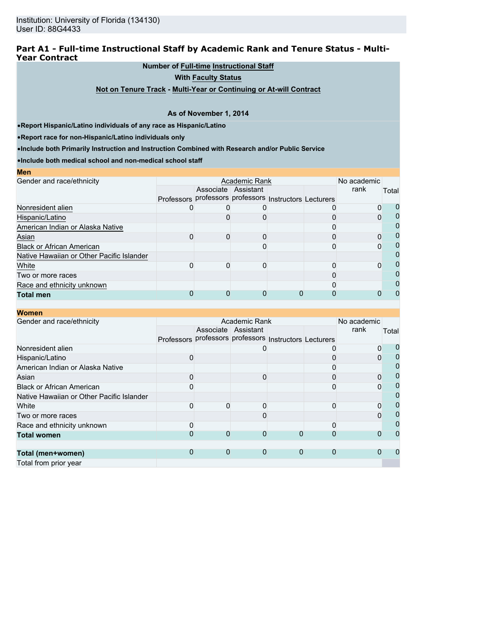### **Part A1 - Full-time Instructional Staff by Academic Rank and Tenure Status - Multi-Year Contract**

# **Number of Full-time Instructional Staff**

**With Faculty Status**

**Not on Tenure Track - Multi-Year or Continuing or At-will Contract**

### **As of November 1, 2014**

•**Report Hispanic/Latino individuals of any race as Hispanic/Latino**

•**Report race for non-Hispanic/Latino individuals only**

•**Include both Primarily Instruction and Instruction Combined with Research and/or Public Service**

•**Include both medical school and non-medical school staff**

| <b>Men</b>                                |                                                        |                     |               |  |             |       |
|-------------------------------------------|--------------------------------------------------------|---------------------|---------------|--|-------------|-------|
| Gender and race/ethnicity                 |                                                        |                     | Academic Rank |  | No academic |       |
|                                           |                                                        | Associate Assistant |               |  | rank        | Total |
|                                           | Professors professors professors Instructors Lecturers |                     |               |  |             |       |
| Nonresident alien                         |                                                        |                     |               |  |             |       |
| Hispanic/Latino                           |                                                        |                     |               |  |             |       |
| American Indian or Alaska Native          |                                                        |                     |               |  |             |       |
| Asian                                     |                                                        |                     |               |  |             |       |
| <b>Black or African American</b>          |                                                        |                     |               |  |             |       |
| Native Hawaiian or Other Pacific Islander |                                                        |                     |               |  |             |       |
| White                                     |                                                        |                     |               |  |             |       |
| Two or more races                         |                                                        |                     |               |  |             |       |
| Race and ethnicity unknown                |                                                        |                     |               |  |             |       |
| <b>Total men</b>                          |                                                        |                     |               |  |             |       |

|        |          |                                                |                    | No academic          |                                                                  |
|--------|----------|------------------------------------------------|--------------------|----------------------|------------------------------------------------------------------|
|        |          |                                                |                    | rank                 | Total                                                            |
|        |          |                                                |                    |                      |                                                                  |
|        |          |                                                |                    |                      | 0                                                                |
|        |          |                                                |                    |                      | $\mathbf 0$                                                      |
|        |          |                                                |                    |                      | 0                                                                |
|        | 0        |                                                |                    |                      | $\overline{0}$                                                   |
|        |          |                                                |                    |                      | $\mathbf 0$                                                      |
|        |          |                                                |                    |                      | $\mathbf 0$                                                      |
|        | 0        |                                                |                    |                      | $\mathbf 0$                                                      |
|        |          |                                                |                    |                      | 0                                                                |
|        |          |                                                |                    |                      | 0                                                                |
|        | $\Omega$ |                                                |                    |                      | 0                                                                |
|        |          |                                                |                    |                      |                                                                  |
|        |          |                                                |                    |                      |                                                                  |
|        |          |                                                |                    |                      |                                                                  |
| 0<br>0 | 0        | Associate Assistant<br>$\Omega$<br>$\mathbf 0$ | Academic Rank<br>0 | $\Omega$<br>$\Omega$ | Professors professors professors Instructors Lecturers<br>0<br>0 |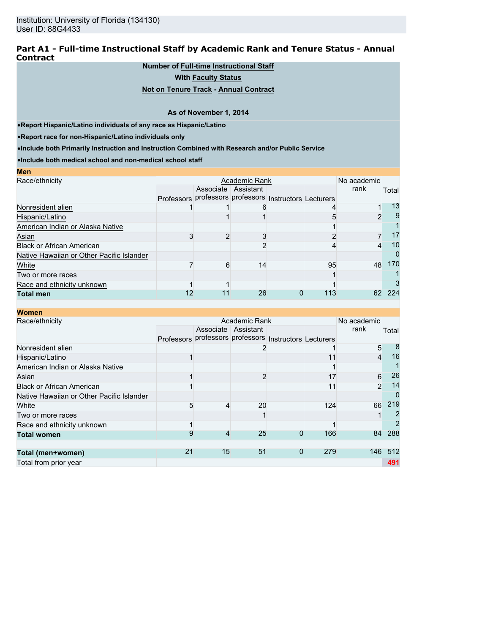### **Part A1 - Full-time Instructional Staff by Academic Rank and Tenure Status - Annual Contract**

# **Number of Full-time Instructional Staff**

**With Faculty Status**

### **Not on Tenure Track - Annual Contract**

### **As of November 1, 2014**

•**Report Hispanic/Latino individuals of any race as Hispanic/Latino**

•**Report race for non-Hispanic/Latino individuals only**

**Men**

•**Include both Primarily Instruction and Instruction Combined with Research and/or Public Service**

•**Include both medical school and non-medical school staff**

| MEIL                                      |                     |                                                        |     |             |       |
|-------------------------------------------|---------------------|--------------------------------------------------------|-----|-------------|-------|
| Race/ethnicity                            |                     | Academic Rank                                          |     | No academic |       |
|                                           | Associate Assistant |                                                        |     | rank        | Total |
|                                           |                     | Professors professors professors Instructors Lecturers |     |             |       |
| Nonresident alien                         |                     |                                                        |     |             | 13    |
| Hispanic/Latino                           |                     |                                                        |     |             | 9     |
| American Indian or Alaska Native          |                     |                                                        |     |             |       |
| Asian                                     |                     |                                                        |     |             | 17    |
| <b>Black or African American</b>          |                     |                                                        |     | 4           | 10    |
| Native Hawaiian or Other Pacific Islander |                     |                                                        |     |             | O     |
| White                                     | հ                   | 14                                                     | 95  | 48          | 170   |
| Two or more races                         |                     |                                                        |     |             |       |
| Race and ethnicity unknown                |                     |                                                        |     |             |       |
| <b>Total men</b>                          |                     | 26                                                     | 113 | 62          | 224   |

| <b>Women</b>                              |                   |    |                                             |             |     |                |       |
|-------------------------------------------|-------------------|----|---------------------------------------------|-------------|-----|----------------|-------|
| Race/ethnicity                            |                   |    | Academic Rank                               |             |     | No academic    |       |
|                                           |                   |    | Associate Assistant                         |             |     | rank           | Total |
|                                           | <b>Professors</b> |    | professors professors Instructors Lecturers |             |     |                |       |
| Nonresident alien                         |                   |    |                                             |             |     | 5              | 8     |
| Hispanic/Latino                           |                   |    |                                             |             |     | 4              | 16    |
| American Indian or Alaska Native          |                   |    |                                             |             |     |                |       |
| Asian                                     |                   |    | $\overline{2}$                              |             | 17  | 6              | 26    |
| <b>Black or African American</b>          |                   |    |                                             |             | 11  | $\overline{2}$ | 14    |
| Native Hawaiian or Other Pacific Islander |                   |    |                                             |             |     |                | 0     |
| White                                     | 5                 | 4  | 20                                          |             | 124 | 66             | 219   |
| Two or more races                         |                   |    |                                             |             |     |                |       |
| Race and ethnicity unknown                |                   |    |                                             |             |     |                | 2     |
| <b>Total women</b>                        | 9                 | 4  | 25                                          | 0           | 166 | 84             | 288   |
|                                           |                   |    |                                             |             |     |                |       |
| Total (men+women)                         | 21                | 15 | 51                                          | $\mathbf 0$ | 279 | 146            | 512   |
| Total from prior year                     |                   |    |                                             |             |     |                | 491   |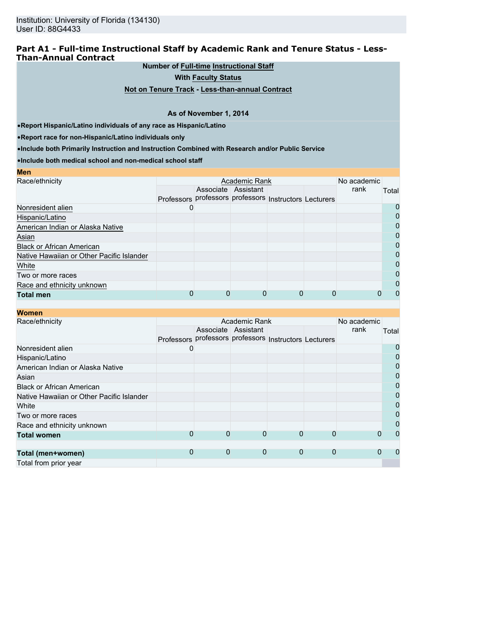### **Part A1 - Full-time Instructional Staff by Academic Rank and Tenure Status - Less-Than-Annual Contract**

**Number of Full-time Instructional Staff**

**With Faculty Status**

**Not on Tenure Track - Less-than-annual Contract**

### **As of November 1, 2014**

•**Report Hispanic/Latino individuals of any race as Hispanic/Latino**

•**Report race for non-Hispanic/Latino individuals only**

•**Include both Primarily Instruction and Instruction Combined with Research and/or Public Service**

•**Include both medical school and non-medical school staff**

| <b>Men</b>                                |                                                        |                     |  |             |          |
|-------------------------------------------|--------------------------------------------------------|---------------------|--|-------------|----------|
| Race/ethnicity                            |                                                        | Academic Rank       |  | No academic |          |
|                                           |                                                        | Associate Assistant |  | rank        | Total    |
|                                           | Professors professors professors Instructors Lecturers |                     |  |             |          |
| Nonresident alien                         |                                                        |                     |  |             | $\Omega$ |
| Hispanic/Latino                           |                                                        |                     |  |             | 0        |
| American Indian or Alaska Native          |                                                        |                     |  |             | Ω        |
| Asian                                     |                                                        |                     |  |             | O        |
| <b>Black or African American</b>          |                                                        |                     |  |             | 0        |
| Native Hawaiian or Other Pacific Islander |                                                        |                     |  |             | 0        |
| White                                     |                                                        |                     |  |             | 0        |
| Two or more races                         |                                                        |                     |  |             | 0        |
| Race and ethnicity unknown                |                                                        |                     |  |             | 0        |
| <b>Total men</b>                          |                                                        |                     |  |             | O        |

| <b>Women</b>                              |    |   |                                                        |   |             |             |       |
|-------------------------------------------|----|---|--------------------------------------------------------|---|-------------|-------------|-------|
| Race/ethnicity                            |    |   | Academic Rank                                          |   |             | No academic |       |
|                                           |    |   | Associate Assistant                                    |   |             | rank        | Total |
|                                           |    |   | Professors professors professors Instructors Lecturers |   |             |             |       |
| Nonresident alien                         | O) |   |                                                        |   |             |             | 0     |
| Hispanic/Latino                           |    |   |                                                        |   |             |             | 0     |
| American Indian or Alaska Native          |    |   |                                                        |   |             |             | 0     |
| Asian                                     |    |   |                                                        |   |             |             | 0     |
| <b>Black or African American</b>          |    |   |                                                        |   |             |             | 0     |
| Native Hawaiian or Other Pacific Islander |    |   |                                                        |   |             |             | 0     |
| White                                     |    |   |                                                        |   |             |             | 0     |
| Two or more races                         |    |   |                                                        |   |             |             | 0     |
| Race and ethnicity unknown                |    |   |                                                        |   |             |             | 0     |
| <b>Total women</b>                        | 0  | 0 | 0                                                      | 0 |             |             |       |
|                                           |    |   |                                                        |   |             |             |       |
| Total (men+women)                         | 0  | 0 | 0                                                      | 0 | $\mathbf 0$ | 0           |       |
| Total from prior year                     |    |   |                                                        |   |             |             |       |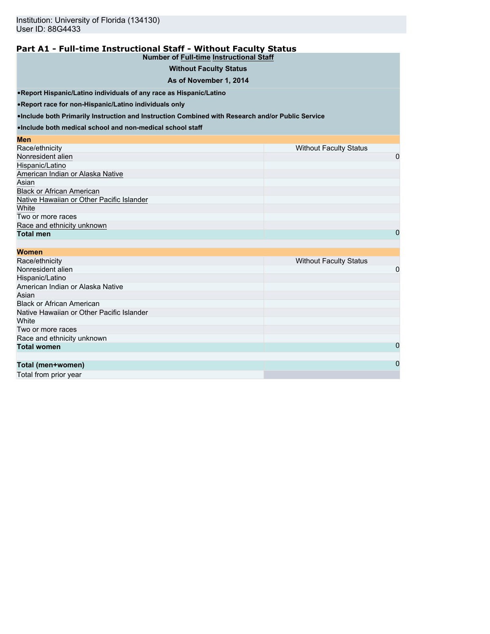### **Part A1 - Full-time Instructional Staff - Without Faculty Status Number of Full-time Instructional Staff**

# **Without Faculty Status**

### **As of November 1, 2014**

•**Report Hispanic/Latino individuals of any race as Hispanic/Latino**

•**Report race for non-Hispanic/Latino individuals only**

•**Include both Primarily Instruction and Instruction Combined with Research and/or Public Service**

•**Include both medical school and non-medical school staff**

| Men                                       |                               |
|-------------------------------------------|-------------------------------|
| Race/ethnicity                            | <b>Without Faculty Status</b> |
| Nonresident alien                         | 0                             |
| Hispanic/Latino                           |                               |
| American Indian or Alaska Native          |                               |
| Asian                                     |                               |
| <b>Black or African American</b>          |                               |
| Native Hawaiian or Other Pacific Islander |                               |
| White                                     |                               |
| Two or more races                         |                               |
| Race and ethnicity unknown                |                               |
| <b>Total men</b>                          | 0                             |

| <b>Women</b>                              |                               |
|-------------------------------------------|-------------------------------|
| Race/ethnicity                            | <b>Without Faculty Status</b> |
| Nonresident alien                         | 0                             |
| Hispanic/Latino                           |                               |
| American Indian or Alaska Native          |                               |
| Asian                                     |                               |
| <b>Black or African American</b>          |                               |
| Native Hawaiian or Other Pacific Islander |                               |
| White                                     |                               |
| Two or more races                         |                               |
| Race and ethnicity unknown                |                               |
| <b>Total women</b>                        | 0                             |
|                                           |                               |
| Total (men+women)                         | $\mathbf 0$                   |

Total from prior year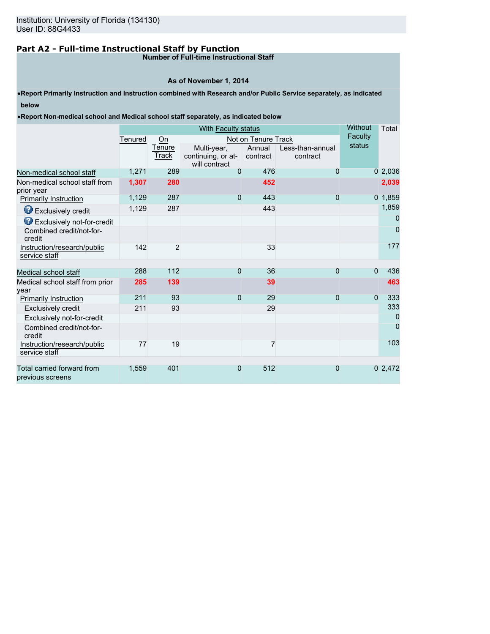# **Part A2 - Full-time Instructional Staff by Function**

# **Number of Full-time Instructional Staff**

# **As of November 1, 2014**

•**Report Primarily Instruction and Instruction combined with Research and/or Public Service separately, as indicated below**

•**Report Non-medical school and Medical school staff separately, as indicated below**

|         |                   | Without                           | Total                                 |                                       |                                             |                                               |
|---------|-------------------|-----------------------------------|---------------------------------------|---------------------------------------|---------------------------------------------|-----------------------------------------------|
| Tenured | On                |                                   |                                       |                                       |                                             |                                               |
|         | Tenure<br>Track   | Multi-year,<br>continuing, or at- | Annual<br>contract                    | Less-than-annual<br>contract          |                                             |                                               |
| 1,271   | 289               | 0                                 | 476                                   | 0                                     |                                             | 02,036                                        |
| 1,307   | 280               |                                   | 452                                   |                                       |                                             | 2,039                                         |
| 1,129   | 287               | $\mathbf 0$                       | 443                                   | 0                                     |                                             | $0$ 1,859                                     |
| 1,129   | 287               |                                   |                                       |                                       |                                             | 1,859                                         |
|         |                   |                                   |                                       |                                       |                                             | 0                                             |
|         |                   |                                   |                                       |                                       |                                             | 0                                             |
| 142     | 2                 |                                   | 33                                    |                                       |                                             | 177                                           |
|         |                   |                                   |                                       |                                       |                                             | 436                                           |
|         |                   |                                   |                                       |                                       |                                             |                                               |
|         |                   |                                   |                                       |                                       |                                             | 463                                           |
|         |                   |                                   |                                       |                                       |                                             | 333                                           |
| 211     | 93                |                                   | 29                                    |                                       |                                             | 333                                           |
|         |                   |                                   |                                       |                                       |                                             | 0                                             |
|         |                   |                                   |                                       |                                       |                                             | 0                                             |
| 77      | 19                |                                   | 7                                     |                                       |                                             | 103                                           |
| 1.559   | 401               | $\overline{0}$                    | 512                                   | $\overline{0}$                        |                                             | 0 2,472                                       |
|         | 288<br>285<br>211 | 112<br>139<br>93                  | will contract<br>$\Omega$<br>$\Omega$ | With Faculty status<br>36<br>39<br>29 | Not on Tenure Track<br>443<br>$\Omega$<br>0 | Faculty<br>status<br>$\Omega$<br>$\mathbf{0}$ |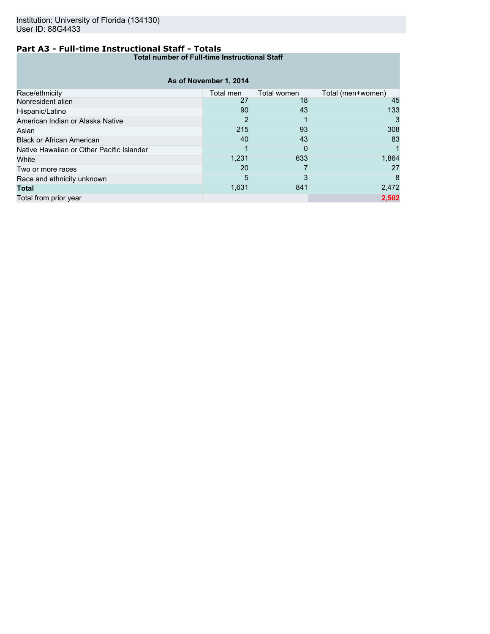# **Part A3 - Full-time Instructional Staff - Totals**

**Total number of Full-time Instructional Staff**

| As of November 1, 2014                    |           |             |                   |  |  |  |  |
|-------------------------------------------|-----------|-------------|-------------------|--|--|--|--|
|                                           |           |             |                   |  |  |  |  |
| Race/ethnicity                            | Total men | Total women | Total (men+women) |  |  |  |  |
| Nonresident alien                         | 27        | 18          | 45                |  |  |  |  |
| Hispanic/Latino                           | 90        | 43          | 133               |  |  |  |  |
| American Indian or Alaska Native          | 2         |             | 3                 |  |  |  |  |
| Asian                                     | 215       | 93          | 308               |  |  |  |  |
| <b>Black or African American</b>          | 40        | 43          | 83                |  |  |  |  |
| Native Hawaiian or Other Pacific Islander |           | 0           |                   |  |  |  |  |
| White                                     | 1,231     | 633         | 1,864             |  |  |  |  |
| Two or more races                         | 20        |             | 27                |  |  |  |  |
| Race and ethnicity unknown                | 5         | 3           | 8                 |  |  |  |  |
| Total                                     | 1,631     | 841         | 2,472             |  |  |  |  |
| Total from prior year                     |           |             | 2,502             |  |  |  |  |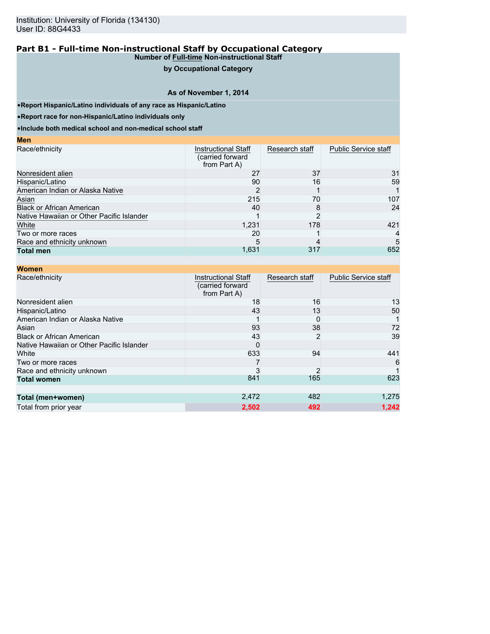# **by Occupational Category**

### **As of November 1, 2014**

•**Report Hispanic/Latino individuals of any race as Hispanic/Latino**

•**Report race for non-Hispanic/Latino individuals only**

**Men**

•**Include both medical school and non-medical school staff**

| $\mathbf{v}$                              |                                                                |                |                             |
|-------------------------------------------|----------------------------------------------------------------|----------------|-----------------------------|
| Race/ethnicity                            | <b>Instructional Staff</b><br>(carried forward<br>from Part A) | Research staff | <b>Public Service staff</b> |
| Nonresident alien                         | 27                                                             | 37             | 31                          |
| Hispanic/Latino                           | 90                                                             | 16             | 59                          |
| American Indian or Alaska Native          |                                                                |                |                             |
| Asian                                     | 215                                                            | 70             | 107                         |
| <b>Black or African American</b>          | 40                                                             |                | 24                          |
| Native Hawaiian or Other Pacific Islander |                                                                |                |                             |
| White                                     | 1,231                                                          | 178            | 421                         |
| Two or more races                         | 20                                                             |                | 4                           |
| Race and ethnicity unknown                |                                                                |                | 5                           |
| <b>Total men</b>                          | 1,631                                                          | 317            | 652                         |

| <b>Women</b>                              |                                                                |                |                             |
|-------------------------------------------|----------------------------------------------------------------|----------------|-----------------------------|
| Race/ethnicity                            | <b>Instructional Staff</b><br>(carried forward<br>from Part A) | Research staff | <b>Public Service staff</b> |
| Nonresident alien                         | 18                                                             | 16             | 13                          |
| Hispanic/Latino                           | 43                                                             | 13             | 50                          |
| American Indian or Alaska Native          |                                                                | 0              |                             |
| Asian                                     | 93                                                             | 38             | 72                          |
| <b>Black or African American</b>          | 43                                                             | 2              | 39                          |
| Native Hawaiian or Other Pacific Islander |                                                                |                |                             |
| White                                     | 633                                                            | 94             | 441                         |
| Two or more races                         |                                                                |                | 6                           |
| Race and ethnicity unknown                |                                                                |                |                             |
| <b>Total women</b>                        | 841                                                            | 165            | 623                         |
|                                           |                                                                |                |                             |
| Total (men+women)                         | 2,472                                                          | 482            | 1,275                       |
| Total from prior year                     | 2,502                                                          | 492            | 1.242                       |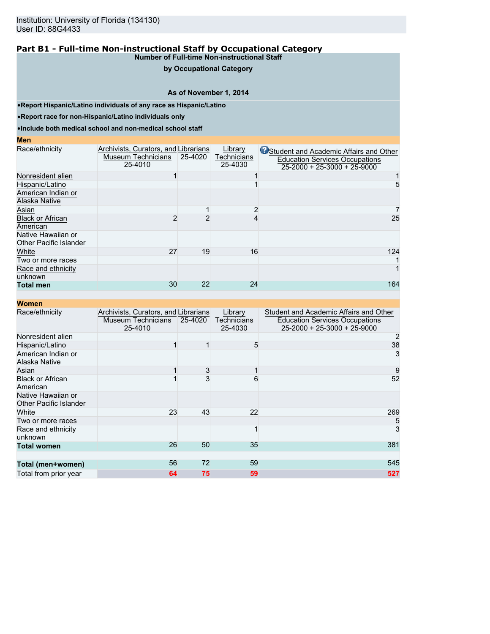# **by Occupational Category**

### **As of November 1, 2014**

•**Report Hispanic/Latino individuals of any race as Hispanic/Latino**

•**Report race for non-Hispanic/Latino individuals only**

•**Include both medical school and non-medical school staff**

#### **Men**

| Race/ethnicity                                      | Archivists, Curators, and Librarians |         | Library                | Student and Academic Affairs and Other                                       |
|-----------------------------------------------------|--------------------------------------|---------|------------------------|------------------------------------------------------------------------------|
|                                                     | Museum Technicians<br>25-4010        | 25-4020 | Technicians<br>25-4030 | <b>Education Services Occupations</b><br>$25 - 2000 + 25 - 3000 + 25 - 9000$ |
| Nonresident alien                                   |                                      |         |                        |                                                                              |
| Hispanic/Latino                                     |                                      |         |                        |                                                                              |
| American Indian or<br>Alaska Native                 |                                      |         |                        |                                                                              |
| Asian                                               |                                      |         |                        |                                                                              |
| <b>Black or African</b><br>American                 |                                      |         |                        | 25                                                                           |
| Native Hawaiian or<br><b>Other Pacific Islander</b> |                                      |         |                        |                                                                              |
| White                                               | 27                                   | 19      | 16                     | 124                                                                          |
| Two or more races                                   |                                      |         |                        |                                                                              |
| Race and ethnicity<br>unknown                       |                                      |         |                        |                                                                              |
| <b>Total men</b>                                    | 30                                   | 22      | 24                     | 164                                                                          |

| <b>Women</b>                                 |                                                                       |         |                                   |                                                                                                                        |
|----------------------------------------------|-----------------------------------------------------------------------|---------|-----------------------------------|------------------------------------------------------------------------------------------------------------------------|
| Race/ethnicity                               | Archivists, Curators, and Librarians<br>Museum Technicians<br>25-4010 | 25-4020 | Library<br>Technicians<br>25-4030 | Student and Academic Affairs and Other<br><b>Education Services Occupations</b><br>$25 - 2000 + 25 - 3000 + 25 - 9000$ |
| Nonresident alien                            |                                                                       |         |                                   | 2                                                                                                                      |
| Hispanic/Latino                              |                                                                       |         | 5                                 | 38                                                                                                                     |
| American Indian or<br>Alaska Native          |                                                                       |         |                                   | 3                                                                                                                      |
| Asian                                        |                                                                       | 3       | 1                                 | 9                                                                                                                      |
| <b>Black or African</b><br>American          |                                                                       | 3       | 6                                 | 52                                                                                                                     |
| Native Hawaiian or<br>Other Pacific Islander |                                                                       |         |                                   |                                                                                                                        |
| White                                        | 23                                                                    | 43      | 22                                | 269                                                                                                                    |
| Two or more races                            |                                                                       |         |                                   | 5                                                                                                                      |
| Race and ethnicity<br>unknown                |                                                                       |         | 1                                 | 3                                                                                                                      |
| <b>Total women</b>                           | 26                                                                    | 50      | 35                                | 381                                                                                                                    |
| Total (men+women)                            | 56                                                                    | 72      | 59                                | 545                                                                                                                    |
| Total from prior year                        | 64                                                                    | 75      | 59                                | 527                                                                                                                    |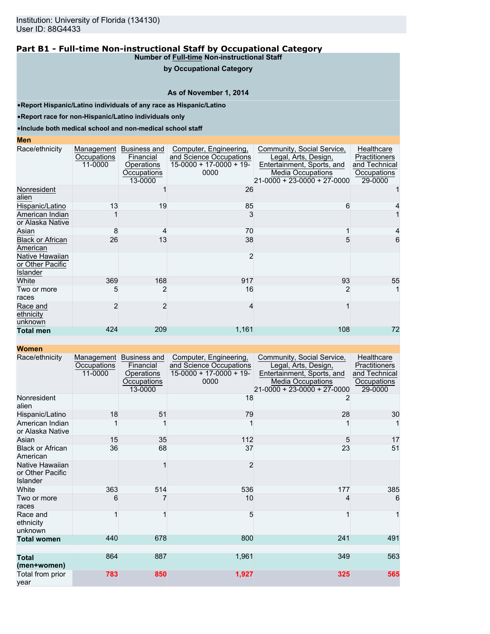### **by Occupational Category**

### **As of November 1, 2014**

•**Report Hispanic/Latino individuals of any race as Hispanic/Latino**

•**Report race for non-Hispanic/Latino individuals only**

•**Include both medical school and non-medical school staff**

### **Men**

| Race/ethnicity                                  | Management<br>Occupations<br>11-0000 | Business and<br>Financial<br>Operations<br>Occupations<br>13-0000 | Computer, Engineering,<br>and Science Occupations<br>$15-0000 + 17-0000 + 19$<br>0000 | Community, Social Service,<br>Legal, Arts, Design,<br>Entertainment, Sports, and<br><b>Media Occupations</b><br>21-0000 + 23-0000 + 27-0000 | Healthcare<br>Practitioners<br>and Technical<br>Occupations<br>29-0000 |
|-------------------------------------------------|--------------------------------------|-------------------------------------------------------------------|---------------------------------------------------------------------------------------|---------------------------------------------------------------------------------------------------------------------------------------------|------------------------------------------------------------------------|
| Nonresident<br>alien                            |                                      |                                                                   | 26                                                                                    |                                                                                                                                             |                                                                        |
| Hispanic/Latino                                 | 13                                   | 19                                                                | 85                                                                                    | 6                                                                                                                                           |                                                                        |
| American Indian<br>or Alaska Native             |                                      |                                                                   |                                                                                       |                                                                                                                                             |                                                                        |
| Asian                                           | 8                                    |                                                                   | 70                                                                                    |                                                                                                                                             |                                                                        |
| <b>Black or African</b><br>American             | 26                                   | 13                                                                | 38                                                                                    | 5                                                                                                                                           | 6                                                                      |
| Native Hawaiian<br>or Other Pacific<br>Islander |                                      |                                                                   |                                                                                       |                                                                                                                                             |                                                                        |
| White                                           | 369                                  | 168                                                               | 917                                                                                   | 93                                                                                                                                          | 55                                                                     |
| Two or more<br>races                            | 5                                    |                                                                   | 16                                                                                    | 2                                                                                                                                           |                                                                        |
| Race and<br>ethnicity<br>unknown                | 2                                    | 2                                                                 |                                                                                       |                                                                                                                                             |                                                                        |
| <b>Total men</b>                                | 424                                  | 209                                                               | 1,161                                                                                 | 108                                                                                                                                         | 72                                                                     |

| <u></u>                                                |                                      |                                                                          |                                                                                       |                                                                                                                                               |                                                                        |
|--------------------------------------------------------|--------------------------------------|--------------------------------------------------------------------------|---------------------------------------------------------------------------------------|-----------------------------------------------------------------------------------------------------------------------------------------------|------------------------------------------------------------------------|
| Race/ethnicity                                         | Management<br>Occupations<br>11-0000 | Business and<br>Financial<br><b>Operations</b><br>Occupations<br>13-0000 | Computer, Engineering,<br>and Science Occupations<br>$15-0000 + 17-0000 + 19$<br>0000 | Community, Social Service,<br>Legal, Arts, Design,<br>Entertainment, Sports, and<br><b>Media Occupations</b><br>$21-0000 + 23-0000 + 27-0000$ | Healthcare<br>Practitioners<br>and Technical<br>Occupations<br>29-0000 |
| Nonresident<br>alien                                   |                                      |                                                                          | 18                                                                                    |                                                                                                                                               |                                                                        |
| Hispanic/Latino                                        | 18                                   | 51                                                                       | 79                                                                                    | 28                                                                                                                                            | 30                                                                     |
| American Indian<br>or Alaska Native                    |                                      |                                                                          |                                                                                       |                                                                                                                                               |                                                                        |
| Asian                                                  | 15                                   | 35                                                                       | 112                                                                                   | 5                                                                                                                                             | 17                                                                     |
| <b>Black or African</b><br>American                    | 36                                   | 68                                                                       | 37                                                                                    | 23                                                                                                                                            | 51                                                                     |
| Native Hawaiian<br>or Other Pacific<br><b>Islander</b> |                                      |                                                                          | $\overline{2}$                                                                        |                                                                                                                                               |                                                                        |
| White                                                  | 363                                  | 514                                                                      | 536                                                                                   | 177                                                                                                                                           | 385                                                                    |
| Two or more<br>races                                   | 6                                    |                                                                          | 10                                                                                    | 4                                                                                                                                             | 6                                                                      |
| Race and<br>ethnicity<br>unknown                       |                                      |                                                                          | 5                                                                                     |                                                                                                                                               | 1                                                                      |
| <b>Total women</b>                                     | 440                                  | 678                                                                      | 800                                                                                   | 241                                                                                                                                           | 491                                                                    |
| <b>Total</b><br>(men+women)                            | 864                                  | 887                                                                      | 1,961                                                                                 | 349                                                                                                                                           | 563                                                                    |
| Total from prior<br>year                               | 783                                  | 850                                                                      | 1,927                                                                                 | 325                                                                                                                                           | 565                                                                    |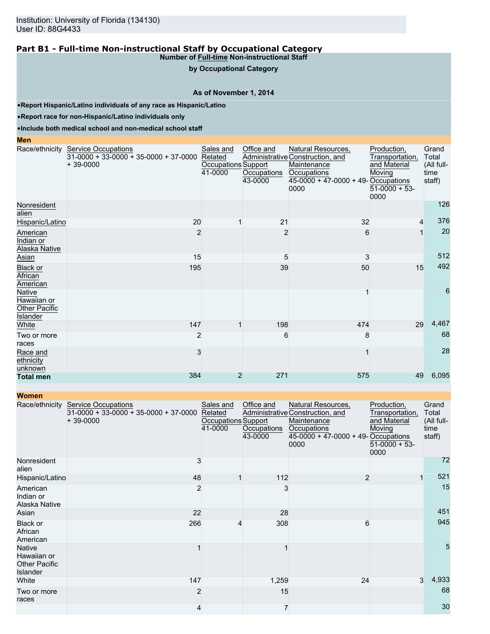**by Occupational Category**

#### **As of November 1, 2014**

•**Report Hispanic/Latino individuals of any race as Hispanic/Latino**

•**Report race for non-Hispanic/Latino individuals only**

•**Include both medical school and non-medical school staff**

#### **Men** Race/ethnicity Service Occupations  $31-0000 + 33-0000 + 35-0000 + 37-0000$ + 39-0000 Sales and Related Occupations Support 41-0000 Office and Administrative Construction, and **Occupations** 43-0000 Natural Resources, **Maintenance Occupations** 45-0000 + 47-0000 + 49- Occupations 0000 Production, Transportation, and Material Moving  $51-0000 + 53$ 0000 Grand Total (All fulltime staff) Nonresident alien 126 Hispanic/Latino 20 1 21 376 **American** Indian or Alaska Native 2 2 6 1 20 Asian 15  $\,$  5  $\,$  3  $\,$  512 Black or **African** American 195 39 50 15 492 Native Hawaiian or Other Pacific Islander 1 6 White 29 4,467 120 198 474 29 4,467 120 198 474 29 4,467 120 198 29 4,467 29 4,467 Two or more races 2 6 8 8 68 Race and **ethnicity** unknown  $3 \hspace{2.5cm} 1$  28 **Total men** 384 2 271 575 49 6,095

| <b>Women</b>                                                            |                                                                                     |                                                        |                                      |                                                                                                                                       |                                                                                    |                                                |
|-------------------------------------------------------------------------|-------------------------------------------------------------------------------------|--------------------------------------------------------|--------------------------------------|---------------------------------------------------------------------------------------------------------------------------------------|------------------------------------------------------------------------------------|------------------------------------------------|
| Race/ethnicity                                                          | <b>Service Occupations</b><br>$31-0000 + 33-0000 + 35-0000 + 37-0000$<br>$+39-0000$ | Sales and<br>Related<br>Occupations Support<br>41-0000 | Office and<br>Occupations<br>43-0000 | Natural Resources,<br>Administrative Construction, and<br>Maintenance<br>Occupations<br>$45-0000 + 47-0000 + 49$ -Occupations<br>0000 | Production,<br>Transportation,<br>and Material<br>Moving<br>$51-0000 + 53$<br>0000 | Grand<br>Total<br>(All full-<br>time<br>staff) |
| Nonresident<br>alien                                                    | 3                                                                                   |                                                        |                                      |                                                                                                                                       |                                                                                    | 72                                             |
| Hispanic/Latino                                                         | 48                                                                                  |                                                        | 112                                  | 2                                                                                                                                     | 1                                                                                  | 521                                            |
| American<br>Indian or<br>Alaska Native                                  | $\overline{2}$                                                                      |                                                        | 3                                    |                                                                                                                                       |                                                                                    | 15                                             |
| Asian                                                                   | 22                                                                                  |                                                        | 28                                   |                                                                                                                                       |                                                                                    | 451                                            |
| Black or<br>African<br>American                                         | 266                                                                                 | 4                                                      | 308                                  | 6                                                                                                                                     |                                                                                    | 945                                            |
| <b>Native</b><br>Hawaiian or<br><b>Other Pacific</b><br><b>Islander</b> |                                                                                     |                                                        |                                      |                                                                                                                                       |                                                                                    | 5                                              |
| White                                                                   | 147                                                                                 |                                                        | 1,259                                | 24                                                                                                                                    | 3                                                                                  | 4,933                                          |
| Two or more<br>races                                                    | $\overline{2}$                                                                      |                                                        | 15                                   |                                                                                                                                       |                                                                                    | 68                                             |
|                                                                         | 4                                                                                   |                                                        | 7                                    |                                                                                                                                       |                                                                                    | 30                                             |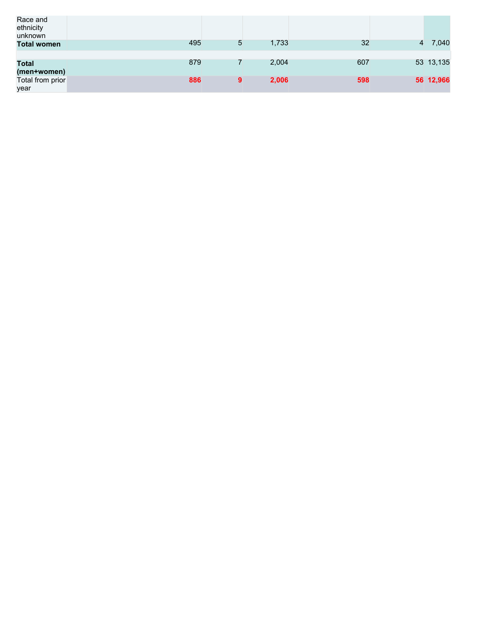| Race and<br>ethnicity<br>unknown |     |   |       |     |   |           |
|----------------------------------|-----|---|-------|-----|---|-----------|
| <b>Total women</b>               | 495 | 5 | 1,733 | 32  | 4 | 7,040     |
|                                  |     |   |       |     |   |           |
| <b>Total</b>                     | 879 |   | 2,004 | 607 |   | 53 13,135 |
| (men+women)                      |     |   |       |     |   |           |
| Total from prior                 | 886 | 9 | 2,006 | 598 |   | 56 12,966 |
| year                             |     |   |       |     |   |           |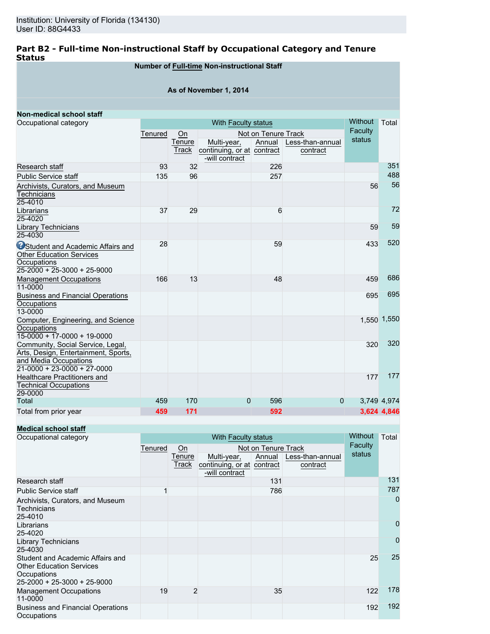# **Part B2 - Full-time Non-instructional Staff by Occupational Category and Tenure Status**

# **Number of Full-time Non-instructional Staff**

### **As of November 1, 2014**

| Non-medical school staff                                                                                                            |         |                     |                                              |                               |                  |                   |             |  |
|-------------------------------------------------------------------------------------------------------------------------------------|---------|---------------------|----------------------------------------------|-------------------------------|------------------|-------------------|-------------|--|
| Occupational category                                                                                                               |         | With Faculty status |                                              |                               |                  |                   |             |  |
|                                                                                                                                     | Tenured | On<br>Tenure        | Multi-year,                                  | Not on Tenure Track<br>Annual | Less-than-annual | Faculty<br>status |             |  |
|                                                                                                                                     |         | Track               | continuing, or at contract<br>-will contract |                               | contract         |                   |             |  |
| Research staff                                                                                                                      | 93      | 32                  |                                              | 226                           |                  |                   | 351         |  |
| <b>Public Service staff</b>                                                                                                         | 135     | 96                  |                                              | 257                           |                  |                   | 488         |  |
| Archivists, Curators, and Museum<br><b>Technicians</b><br>25-4010                                                                   |         |                     |                                              |                               |                  | 56                | 56          |  |
| Librarians<br>25-4020                                                                                                               | 37      | 29                  |                                              | 6                             |                  |                   | 72          |  |
| <b>Library Technicians</b><br>25-4030                                                                                               |         |                     |                                              |                               |                  | 59                | 59          |  |
| <b>OStudent and Academic Affairs and</b><br><b>Other Education Services</b><br>Occupations<br>$25 - 2000 + 25 - 3000 + 25 - 9000$   | 28      |                     |                                              | 59                            |                  | 433               | 520         |  |
| <b>Management Occupations</b><br>11-0000                                                                                            | 166     | 13                  |                                              | 48                            |                  | 459               | 686         |  |
| <b>Business and Financial Operations</b><br>Occupations<br>13-0000                                                                  |         |                     |                                              |                               |                  | 695               | 695         |  |
| Computer, Engineering, and Science<br>Occupations<br>$15-0000 + 17-0000 + 19-0000$                                                  |         |                     |                                              |                               |                  |                   | 1,550 1,550 |  |
| Community, Social Service, Legal,<br>Arts, Design, Entertainment, Sports,<br>and Media Occupations<br>$21-0000 + 23-0000 + 27-0000$ |         |                     |                                              |                               |                  | 320               | 320         |  |
| <b>Healthcare Practitioners and</b><br><b>Technical Occupations</b><br>29-0000                                                      |         |                     |                                              |                               |                  | 177               | 177         |  |
| Total                                                                                                                               | 459     | 170                 | $\Omega$                                     | 596                           | $\Omega$         |                   | 3,749 4,974 |  |
| Total from prior year                                                                                                               | 459     | 171                 |                                              | 592                           |                  |                   | 3.624 4.846 |  |

**Medical school staff**

| Occupational category                                                                                             |         | With Faculty status       |                                           |        |                              |        |                |  |
|-------------------------------------------------------------------------------------------------------------------|---------|---------------------------|-------------------------------------------|--------|------------------------------|--------|----------------|--|
|                                                                                                                   | Tenured | Not on Tenure Track<br>Qn |                                           |        |                              |        |                |  |
|                                                                                                                   |         | Tenure<br>Track           | Multi-year,<br>continuing, or at contract | Annual | Less-than-annual<br>contract | status |                |  |
|                                                                                                                   |         |                           | -will contract                            |        |                              |        |                |  |
| Research staff                                                                                                    |         |                           |                                           | 131    |                              |        | 131            |  |
| <b>Public Service staff</b>                                                                                       |         |                           |                                           | 786    |                              |        | 787            |  |
| Archivists, Curators, and Museum<br><b>Technicians</b><br>25-4010                                                 |         |                           |                                           |        |                              |        | $\overline{0}$ |  |
| Librarians<br>25-4020                                                                                             |         |                           |                                           |        |                              |        | 0              |  |
| <b>Library Technicians</b><br>25-4030                                                                             |         |                           |                                           |        |                              |        | 0              |  |
| Student and Academic Affairs and<br><b>Other Education Services</b><br>Occupations<br>25-2000 + 25-3000 + 25-9000 |         |                           |                                           |        |                              | 25     | 25             |  |
| <b>Management Occupations</b><br>11-0000                                                                          | 19      | $\overline{2}$            |                                           | 35     |                              | 122    | 178            |  |
| <b>Business and Financial Operations</b><br>Occupations                                                           |         |                           |                                           |        |                              | 192    | 192            |  |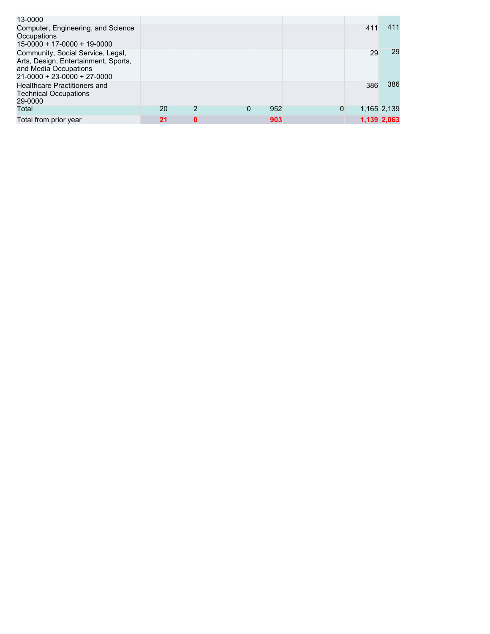| 13-0000                                                                                                                             |    |   |   |     |   |     |             |
|-------------------------------------------------------------------------------------------------------------------------------------|----|---|---|-----|---|-----|-------------|
| Computer, Engineering, and Science<br>Occupations<br>$15-0000 + 17-0000 + 19-0000$                                                  |    |   |   |     |   | 411 | 411         |
| Community, Social Service, Legal,<br>Arts, Design, Entertainment, Sports,<br>and Media Occupations<br>$21-0000 + 23-0000 + 27-0000$ |    |   |   |     |   | 29  | 29          |
| <b>Healthcare Practitioners and</b><br><b>Technical Occupations</b><br>29-0000                                                      |    |   |   |     |   | 386 | 386         |
| Total                                                                                                                               | 20 | 2 | 0 | 952 | 0 |     | 1,165 2,139 |
| Total from prior year                                                                                                               | 21 | 0 |   | 903 |   |     | 1,139 2,063 |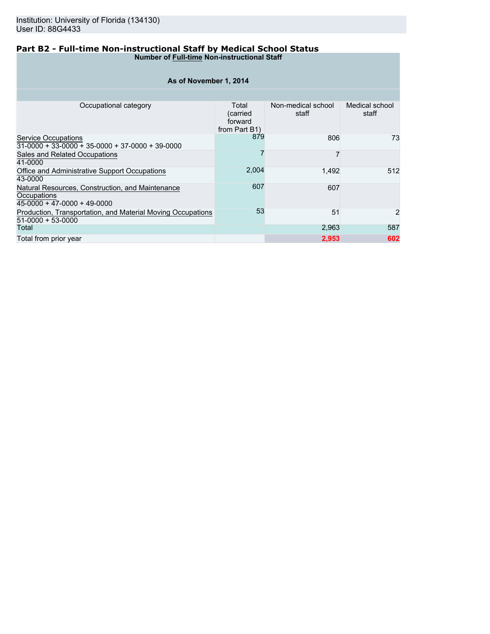### **Part B2 - Full-time Non-instructional Staff by Medical School Status Number of Full-time Non-instructional Staff**

| As of November 1, 2014                                                                         |                                               |                             |                         |  |  |  |  |  |  |  |
|------------------------------------------------------------------------------------------------|-----------------------------------------------|-----------------------------|-------------------------|--|--|--|--|--|--|--|
|                                                                                                |                                               |                             |                         |  |  |  |  |  |  |  |
| Occupational category                                                                          | Total<br>(carried<br>forward<br>from Part B1) | Non-medical school<br>staff | Medical school<br>staff |  |  |  |  |  |  |  |
| <b>Service Occupations</b><br>$31-0000 + 33-0000 + 35-0000 + 37-0000 + 39-0000$                | 879                                           | 806                         | 73                      |  |  |  |  |  |  |  |
| Sales and Related Occupations<br>41-0000                                                       |                                               |                             |                         |  |  |  |  |  |  |  |
| Office and Administrative Support Occupations<br>43-0000                                       | 2,004                                         | 1.492                       | 512                     |  |  |  |  |  |  |  |
| Natural Resources, Construction, and Maintenance<br>Occupations<br>45-0000 + 47-0000 + 49-0000 | 607                                           | 607                         |                         |  |  |  |  |  |  |  |
| Production, Transportation, and Material Moving Occupations<br>51-0000 + 53-0000               | 53                                            | 51                          | $\overline{2}$          |  |  |  |  |  |  |  |
| Total                                                                                          |                                               | 2,963                       | 587                     |  |  |  |  |  |  |  |
| Total from prior year                                                                          |                                               | 2,953                       | 602                     |  |  |  |  |  |  |  |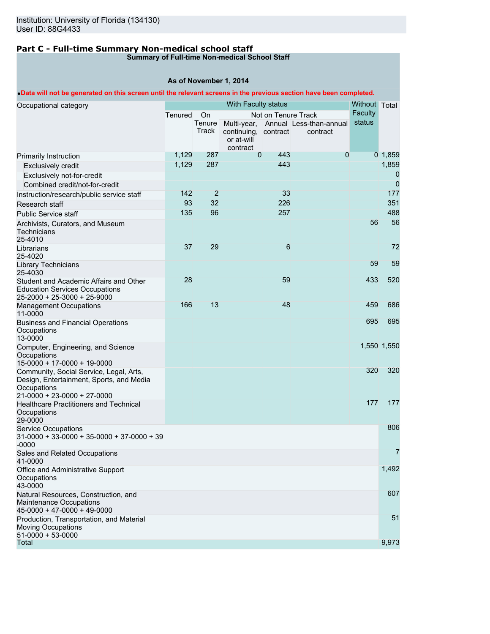# **Part C - Full-time Summary Non-medical school staff**

# **Summary of Full-time Non-medical School Staff**

# **As of November 1, 2014**

# •**Data will not be generated on this screen until the relevant screens in the previous section have been completed.**

| Occupational category                                                                              |         |                | With Faculty status    |                     |                                     | Without Total  |                |
|----------------------------------------------------------------------------------------------------|---------|----------------|------------------------|---------------------|-------------------------------------|----------------|----------------|
|                                                                                                    | Tenured | <b>On</b>      |                        | Not on Tenure Track |                                     | <b>Faculty</b> |                |
|                                                                                                    |         | Tenure         |                        |                     | Multi-year, Annual Less-than-annual | status         |                |
|                                                                                                    |         | Track          | continuing,            | contract            | contract                            |                |                |
|                                                                                                    |         |                | or at-will<br>contract |                     |                                     |                |                |
| Primarily Instruction                                                                              | 1,129   | 287            | $\mathbf{0}$           | 443                 | 0                                   |                | $0$ 1,859      |
| <b>Exclusively credit</b>                                                                          | 1,129   | 287            |                        | 443                 |                                     |                | 1,859          |
| Exclusively not-for-credit                                                                         |         |                |                        |                     |                                     |                | 0              |
| Combined credit/not-for-credit                                                                     |         |                |                        |                     |                                     |                | $\overline{0}$ |
| Instruction/research/public service staff                                                          | 142     | $\overline{2}$ |                        | 33                  |                                     |                | 177            |
| Research staff                                                                                     | 93      | 32             |                        | 226                 |                                     |                | 351            |
| <b>Public Service staff</b>                                                                        | 135     | 96             |                        | 257                 |                                     |                | 488            |
| Archivists, Curators, and Museum<br>Technicians<br>25-4010                                         |         |                |                        |                     |                                     | 56             | 56             |
| Librarians                                                                                         | 37      | 29             |                        | 6                   |                                     |                | 72             |
| 25-4020                                                                                            |         |                |                        |                     |                                     |                |                |
| <b>Library Technicians</b><br>25-4030                                                              |         |                |                        |                     |                                     | 59             | 59             |
| Student and Academic Affairs and Other                                                             | 28      |                |                        | 59                  |                                     | 433            | 520            |
| <b>Education Services Occupations</b><br>25-2000 + 25-3000 + 25-9000                               |         |                |                        |                     |                                     |                |                |
| <b>Management Occupations</b><br>11-0000                                                           | 166     | 13             |                        | 48                  |                                     | 459            | 686            |
| <b>Business and Financial Operations</b><br>Occupations                                            |         |                |                        |                     |                                     | 695            | 695            |
| 13-0000                                                                                            |         |                |                        |                     |                                     |                |                |
| Computer, Engineering, and Science<br>Occupations                                                  |         |                |                        |                     |                                     |                | 1,550 1,550    |
| 15-0000 + 17-0000 + 19-0000                                                                        |         |                |                        |                     |                                     |                |                |
| Community, Social Service, Legal, Arts,<br>Design, Entertainment, Sports, and Media<br>Occupations |         |                |                        |                     |                                     | 320            | 320            |
| 21-0000 + 23-0000 + 27-0000                                                                        |         |                |                        |                     |                                     | 177            | 177            |
| Healthcare Practitioners and Technical<br>Occupations<br>29-0000                                   |         |                |                        |                     |                                     |                |                |
| <b>Service Occupations</b><br>$31-0000 + 33-0000 + 35-0000 + 37-0000 + 39$<br>$-0000$              |         |                |                        |                     |                                     |                | 806            |
| Sales and Related Occupations<br>41-0000                                                           |         |                |                        |                     |                                     |                | $\overline{7}$ |
| Office and Administrative Support                                                                  |         |                |                        |                     |                                     |                | 1,492          |
| Occupations<br>43-0000                                                                             |         |                |                        |                     |                                     |                |                |
| Natural Resources, Construction, and<br>Maintenance Occupations<br>45-0000 + 47-0000 + 49-0000     |         |                |                        |                     |                                     |                | 607            |
| Production, Transportation, and Material<br><b>Moving Occupations</b>                              |         |                |                        |                     |                                     |                | 51             |
| $51-0000 + 53-0000$                                                                                |         |                |                        |                     |                                     |                |                |
| Total                                                                                              |         |                |                        |                     |                                     |                | 9,973          |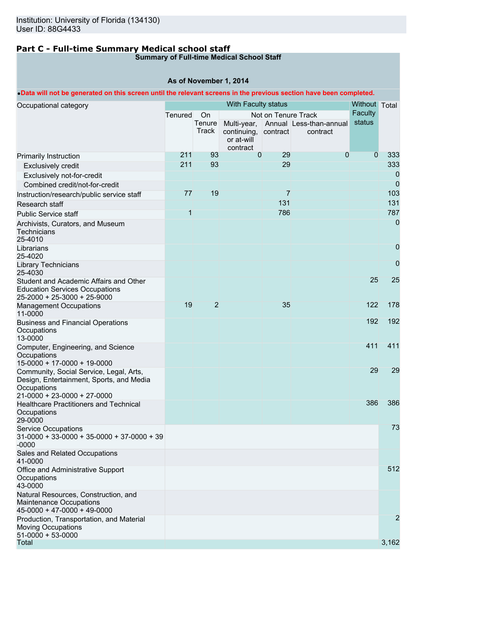# **Part C - Full-time Summary Medical school staff**

# **Summary of Full-time Medical School Staff**

## **As of November 1, 2014**

# •**Data will not be generated on this screen until the relevant screens in the previous section have been completed.**

| Occupational category                                                 |         |                | With Faculty status  |                     |                                                 | Without Total<br>Faculty |                |
|-----------------------------------------------------------------------|---------|----------------|----------------------|---------------------|-------------------------------------------------|--------------------------|----------------|
|                                                                       | Tenured | On<br>Tenure   |                      | Not on Tenure Track |                                                 | status                   |                |
|                                                                       |         | Track          | continuing, contract |                     | Multi-year, Annual Less-than-annual<br>contract |                          |                |
|                                                                       |         |                | or at-will           |                     |                                                 |                          |                |
|                                                                       |         |                | contract             |                     |                                                 |                          |                |
| Primarily Instruction                                                 | 211     | 93             | $\mathbf{0}$         | 29                  | 0                                               | $\mathbf 0$              | 333            |
| <b>Exclusively credit</b>                                             | 211     | 93             |                      | 29                  |                                                 |                          | 333            |
| Exclusively not-for-credit                                            |         |                |                      |                     |                                                 |                          | 0              |
| Combined credit/not-for-credit                                        |         |                |                      |                     |                                                 |                          | $\overline{0}$ |
| Instruction/research/public service staff                             | 77      | 19             |                      | 7                   |                                                 |                          | 103            |
| Research staff                                                        |         |                |                      | 131                 |                                                 |                          | 131            |
| <b>Public Service staff</b>                                           | 1       |                |                      | 786                 |                                                 |                          | 787            |
| Archivists, Curators, and Museum                                      |         |                |                      |                     |                                                 |                          | 0              |
| Technicians                                                           |         |                |                      |                     |                                                 |                          |                |
| 25-4010                                                               |         |                |                      |                     |                                                 |                          |                |
| Librarians<br>25-4020                                                 |         |                |                      |                     |                                                 |                          | 0              |
| <b>Library Technicians</b>                                            |         |                |                      |                     |                                                 |                          | 0              |
| 25-4030                                                               |         |                |                      |                     |                                                 |                          |                |
| Student and Academic Affairs and Other                                |         |                |                      |                     |                                                 | 25                       | 25             |
| <b>Education Services Occupations</b>                                 |         |                |                      |                     |                                                 |                          |                |
| 25-2000 + 25-3000 + 25-9000                                           |         |                |                      |                     |                                                 |                          |                |
| <b>Management Occupations</b><br>11-0000                              | 19      | $\overline{2}$ |                      | 35                  |                                                 | 122                      | 178            |
| <b>Business and Financial Operations</b>                              |         |                |                      |                     |                                                 | 192                      | 192            |
| Occupations<br>13-0000                                                |         |                |                      |                     |                                                 |                          |                |
| Computer, Engineering, and Science                                    |         |                |                      |                     |                                                 | 411                      | 411            |
| Occupations<br>15-0000 + 17-0000 + 19-0000                            |         |                |                      |                     |                                                 |                          |                |
| Community, Social Service, Legal, Arts,                               |         |                |                      |                     |                                                 | 29                       | 29             |
| Design, Entertainment, Sports, and Media                              |         |                |                      |                     |                                                 |                          |                |
| Occupations                                                           |         |                |                      |                     |                                                 |                          |                |
| 21-0000 + 23-0000 + 27-0000                                           |         |                |                      |                     |                                                 |                          |                |
| Healthcare Practitioners and Technical                                |         |                |                      |                     |                                                 | 386                      | 386            |
| Occupations<br>29-0000                                                |         |                |                      |                     |                                                 |                          |                |
| <b>Service Occupations</b>                                            |         |                |                      |                     |                                                 |                          | 73             |
| $31-0000 + 33-0000 + 35-0000 + 37-0000 + 39$                          |         |                |                      |                     |                                                 |                          |                |
| $-0000$                                                               |         |                |                      |                     |                                                 |                          |                |
| Sales and Related Occupations                                         |         |                |                      |                     |                                                 |                          |                |
| 41-0000                                                               |         |                |                      |                     |                                                 |                          | 512            |
| Office and Administrative Support<br>Occupations                      |         |                |                      |                     |                                                 |                          |                |
| 43-0000                                                               |         |                |                      |                     |                                                 |                          |                |
| Natural Resources, Construction, and                                  |         |                |                      |                     |                                                 |                          |                |
| Maintenance Occupations                                               |         |                |                      |                     |                                                 |                          |                |
| 45-0000 + 47-0000 + 49-0000                                           |         |                |                      |                     |                                                 |                          |                |
| Production, Transportation, and Material<br><b>Moving Occupations</b> |         |                |                      |                     |                                                 |                          | $\overline{2}$ |
| $51-0000 + 53-0000$                                                   |         |                |                      |                     |                                                 |                          |                |
| Total                                                                 |         |                |                      |                     |                                                 |                          | 3,162          |
|                                                                       |         |                |                      |                     |                                                 |                          |                |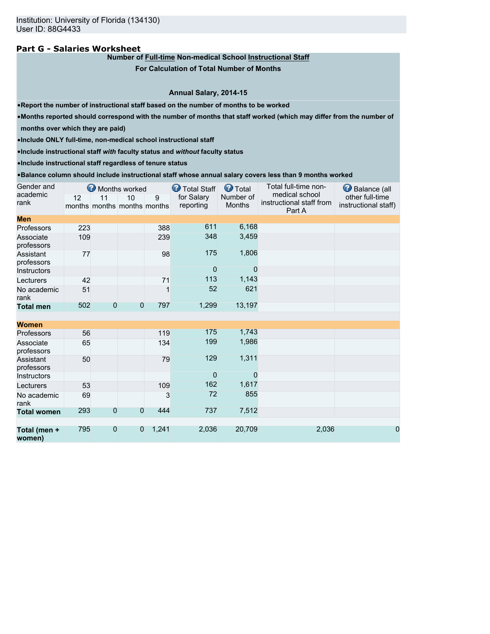### **Part G - Salaries Worksheet**

### **Number of Full-time Non-medical School Instructional Staff**

**For Calculation of Total Number of Months**

### **Annual Salary, 2014-15**

•**Report the number of instructional staff based on the number of months to be worked**

•**Months reported should correspond with the number of months that staff worked (which may differ from the number of**

**months over which they are paid)**

•**Include ONLY full-time, non-medical school instructional staff**

•**Include instructional staff** *with* **faculty status and** *without* **faculty status**

•**Include instructional staff regardless of tenure status**

#### •**Balance column should include instructional staff whose annual salary covers less than 9 months worked**

| Gender and              |     |                | Months worked                     |       | <b>T</b> otal Staff     | <b>O</b> Total      | Total full-time non-                                 | Balance (all                            |
|-------------------------|-----|----------------|-----------------------------------|-------|-------------------------|---------------------|------------------------------------------------------|-----------------------------------------|
| academic<br>rank        | 12  | 11             | 10<br>months months months months | 9     | for Salary<br>reporting | Number of<br>Months | medical school<br>instructional staff from<br>Part A | other full-time<br>instructional staff) |
| <b>Men</b>              |     |                |                                   |       |                         |                     |                                                      |                                         |
| Professors              | 223 |                |                                   | 388   | 611                     | 6,168               |                                                      |                                         |
| Associate<br>professors | 109 |                |                                   | 239   | 348                     | 3,459               |                                                      |                                         |
| Assistant<br>professors | 77  |                |                                   | 98    | 175                     | 1,806               |                                                      |                                         |
| <b>Instructors</b>      |     |                |                                   |       | $\overline{0}$          | 0                   |                                                      |                                         |
| Lecturers               | 42  |                |                                   | 71    | 113                     | 1,143               |                                                      |                                         |
| No academic<br>rank     | 51  |                |                                   | 1     | 52                      | 621                 |                                                      |                                         |
| <b>Total men</b>        | 502 | $\overline{0}$ | $\overline{0}$                    | 797   | 1,299                   | 13,197              |                                                      |                                         |
|                         |     |                |                                   |       |                         |                     |                                                      |                                         |
| <b>Women</b>            |     |                |                                   |       |                         |                     |                                                      |                                         |
| Professors              | 56  |                |                                   | 119   | 175                     | 1,743               |                                                      |                                         |
| Associate<br>professors | 65  |                |                                   | 134   | 199                     | 1,986               |                                                      |                                         |
| Assistant<br>professors | 50  |                |                                   | 79    | 129                     | 1,311               |                                                      |                                         |
| Instructors             |     |                |                                   |       | $\overline{0}$          | $\Omega$            |                                                      |                                         |
| Lecturers               | 53  |                |                                   | 109   | 162                     | 1,617               |                                                      |                                         |
| No academic<br>rank     | 69  |                |                                   | 3     | 72                      | 855                 |                                                      |                                         |
| <b>Total women</b>      | 293 | $\overline{0}$ | $\overline{0}$                    | 444   | 737                     | 7,512               |                                                      |                                         |
| Total (men +<br>women)  | 795 | $\overline{0}$ | $\overline{0}$                    | 1,241 | 2,036                   | 20,709              | 2,036                                                | $\mathbf 0$                             |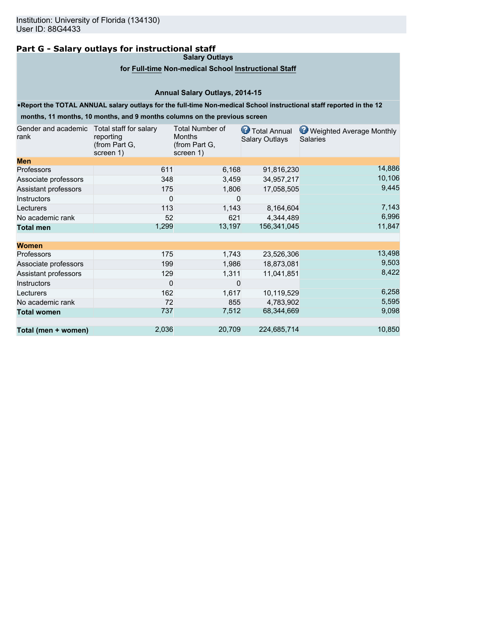# **Part G - Salary outlays for instructional staff**

**Salary Outlays**

### **for Full-time Non-medical School Instructional Staff**

# **Annual Salary Outlays, 2014-15**

### •**Report the TOTAL ANNUAL salary outlays for the full-time Non-medical School instructional staff reported in the 12**

**months, 11 months, 10 months, and 9 months columns on the previous screen**

| Gender and academic<br>rank | Total staff for salary<br>reporting<br>(from Part G,<br>screen 1) | <b>Total Number of</b><br><b>Months</b><br>(from Part G,<br>screen 1) | Total Annual<br><b>Salary Outlays</b> | Weighted Average Monthly<br><b>Salaries</b> |
|-----------------------------|-------------------------------------------------------------------|-----------------------------------------------------------------------|---------------------------------------|---------------------------------------------|
| <b>Men</b>                  |                                                                   |                                                                       |                                       |                                             |
| Professors                  | 611                                                               | 6,168                                                                 | 91,816,230                            | 14,886                                      |
| Associate professors        | 348                                                               | 3,459                                                                 | 34,957,217                            | 10,106                                      |
| Assistant professors        | 175                                                               | 1,806                                                                 | 17,058,505                            | 9,445                                       |
| Instructors                 | 0                                                                 | 0                                                                     |                                       |                                             |
| Lecturers                   | 113                                                               | 1,143                                                                 | 8,164,604                             | 7,143                                       |
| No academic rank            | 52                                                                | 621                                                                   | 4,344,489                             | 6,996                                       |
| <b>Total men</b>            | 1,299                                                             | 13,197                                                                | 156,341,045                           | 11,847                                      |
| <b>Women</b>                |                                                                   |                                                                       |                                       |                                             |
| Professors                  | 175                                                               | 1,743                                                                 | 23,526,306                            | 13,498                                      |
| Associate professors        | 199                                                               | 1,986                                                                 | 18,873,081                            | 9,503                                       |
| Assistant professors        | 129                                                               | 1,311                                                                 | 11,041,851                            | 8,422                                       |
| Instructors                 | 0                                                                 | 0                                                                     |                                       |                                             |
| Lecturers                   | 162                                                               | 1,617                                                                 | 10,119,529                            | 6,258                                       |
| No academic rank            | 72                                                                | 855                                                                   | 4,783,902                             | 5,595                                       |
| <b>Total women</b>          | 737                                                               | 7,512                                                                 | 68,344,669                            | 9,098                                       |
| Total (men + women)         | 2,036                                                             | 20,709                                                                | 224,685,714                           | 10,850                                      |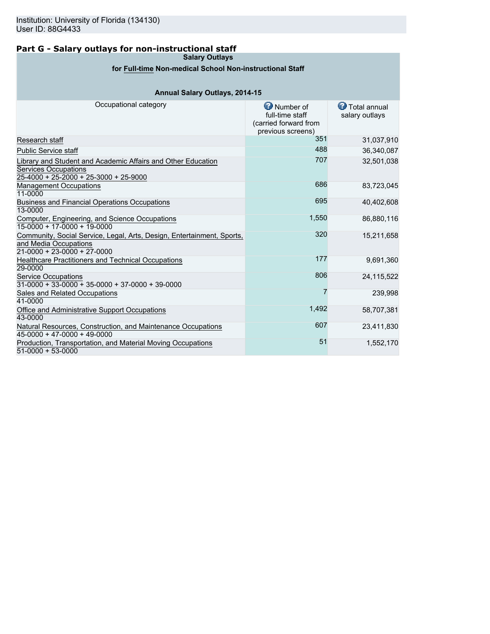# **Part G - Salary outlays for non-instructional staff**

**Salary Outlays**

# **for Full-time Non-medical School Non-instructional Staff**

# **Annual Salary Outlays, 2014-15**

| Occupational category                                                                                                                  | Number of<br>full-time staff<br>(carried forward from<br>previous screens) | <b>T</b> otal annual<br>salary outlays |
|----------------------------------------------------------------------------------------------------------------------------------------|----------------------------------------------------------------------------|----------------------------------------|
| Research staff                                                                                                                         | 351                                                                        | 31,037,910                             |
| <b>Public Service staff</b>                                                                                                            | 488                                                                        | 36,340,087                             |
| Library and Student and Academic Affairs and Other Education<br><b>Services Occupations</b><br>$25-4000 + 25-2000 + 25-3000 + 25-9000$ | 707                                                                        | 32,501,038                             |
| <b>Management Occupations</b><br>11-0000                                                                                               | 686                                                                        | 83,723,045                             |
| Business and Financial Operations Occupations<br>13-0000                                                                               | 695                                                                        | 40,402,608                             |
| Computer, Engineering, and Science Occupations<br>$15-0000 + 17-0000 + 19-0000$                                                        | 1,550                                                                      | 86,880,116                             |
| Community, Social Service, Legal, Arts, Design, Entertainment, Sports,<br>and Media Occupations<br>$21-0000 + 23-0000 + 27-0000$       | 320                                                                        | 15,211,658                             |
| Healthcare Practitioners and Technical Occupations<br>29-0000                                                                          | 177                                                                        | 9,691,360                              |
| <b>Service Occupations</b><br>$31-0000 + 33-0000 + 35-0000 + 37-0000 + 39-0000$                                                        | 806                                                                        | 24,115,522                             |
| Sales and Related Occupations<br>41-0000                                                                                               |                                                                            | 239,998                                |
| Office and Administrative Support Occupations<br>43-0000                                                                               | 1,492                                                                      | 58,707,381                             |
| Natural Resources, Construction, and Maintenance Occupations<br>$45-0000 + 47-0000 + 49-0000$                                          | 607                                                                        | 23,411,830                             |
| Production, Transportation, and Material Moving Occupations<br>$51-0000 + 53-0000$                                                     | 51                                                                         | 1,552,170                              |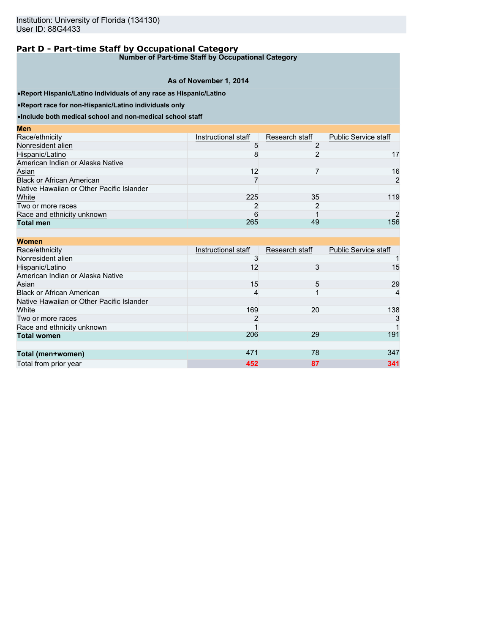**Number of Part-time Staff by Occupational Category**

# **As of November 1, 2014**

•**Report Hispanic/Latino individuals of any race as Hispanic/Latino**

•**Report race for non-Hispanic/Latino individuals only**

•**Include both medical school and non-medical school staff**

| <b>Men</b>                                |                     |                |                             |
|-------------------------------------------|---------------------|----------------|-----------------------------|
| Race/ethnicity                            | Instructional staff | Research staff | <b>Public Service staff</b> |
| Nonresident alien                         |                     |                |                             |
| Hispanic/Latino                           | 8                   |                | 17                          |
| American Indian or Alaska Native          |                     |                |                             |
| Asian                                     | 12                  |                | 16                          |
| <b>Black or African American</b>          |                     |                | $\overline{2}$              |
| Native Hawaiian or Other Pacific Islander |                     |                |                             |
| White                                     | 225                 | 35             | 119                         |
| Two or more races                         |                     | 2              |                             |
| Race and ethnicity unknown                | 6                   |                | $\mathcal{P}$               |
| <b>Total men</b>                          | 265                 | 49             | 156                         |

| <b>Women</b>                              |                     |                |                             |
|-------------------------------------------|---------------------|----------------|-----------------------------|
| Race/ethnicity                            | Instructional staff | Research staff | <b>Public Service staff</b> |
| Nonresident alien                         |                     |                |                             |
| Hispanic/Latino                           | 12                  | 3              | 15                          |
| American Indian or Alaska Native          |                     |                |                             |
| Asian                                     | 15                  | 5              | 29                          |
| <b>Black or African American</b>          | 4                   |                | $\overline{4}$              |
| Native Hawaiian or Other Pacific Islander |                     |                |                             |
| White                                     | 169                 | 20             | 138                         |
| Two or more races                         | 2                   |                | 3                           |
| Race and ethnicity unknown                |                     |                |                             |
| <b>Total women</b>                        | 206                 | 29             | 191                         |
|                                           |                     |                |                             |
| Total (men+women)                         | 471                 | 78             | 347                         |
| Total from prior year                     | 452                 | 87             | 341                         |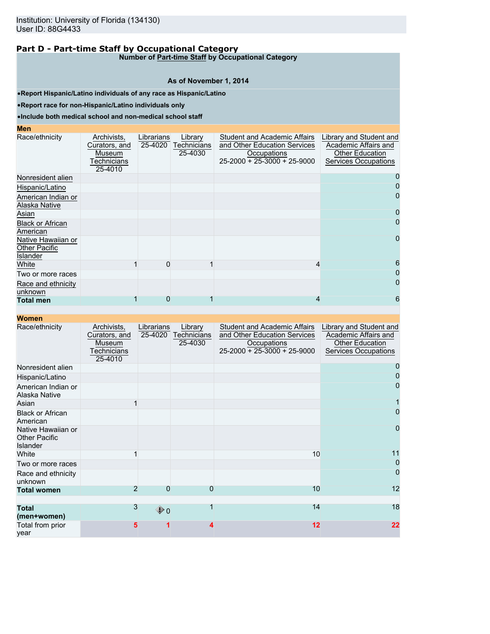**Number of Part-time Staff by Occupational Category**

### **As of November 1, 2014**

•**Report Hispanic/Latino individuals of any race as Hispanic/Latino**

•**Report race for non-Hispanic/Latino individuals only**

### •**Include both medical school and non-medical school staff**

### **Men**

| Race/ethnicity                                                | Archivists,<br>Curators, and<br>Museum<br><b>Fechnicians</b><br>25-4010 | Librarians<br>25-4020 | Library<br>Technicians<br>25-4030 | <b>Student and Academic Affairs</b><br>and Other Education Services<br>Occupations<br>25-2000 + 25-3000 + 25-9000 | Library and Student and<br>Academic Affairs and<br><b>Other Education</b><br><b>Services Occupations</b> |
|---------------------------------------------------------------|-------------------------------------------------------------------------|-----------------------|-----------------------------------|-------------------------------------------------------------------------------------------------------------------|----------------------------------------------------------------------------------------------------------|
| Nonresident alien                                             |                                                                         |                       |                                   |                                                                                                                   |                                                                                                          |
| Hispanic/Latino                                               |                                                                         |                       |                                   |                                                                                                                   | 0                                                                                                        |
| American Indian or<br>Alaska Native                           |                                                                         |                       |                                   |                                                                                                                   | 0                                                                                                        |
| Asian                                                         |                                                                         |                       |                                   |                                                                                                                   |                                                                                                          |
| <b>Black or African</b><br>American                           |                                                                         |                       |                                   |                                                                                                                   |                                                                                                          |
| Native Hawaiian or<br><b>Other Pacific</b><br><b>Islander</b> |                                                                         |                       |                                   |                                                                                                                   | $\mathbf 0$                                                                                              |
| White                                                         |                                                                         | O                     |                                   | 4                                                                                                                 | 6                                                                                                        |
| Two or more races                                             |                                                                         |                       |                                   |                                                                                                                   | 0                                                                                                        |
| Race and ethnicity<br>unknown                                 |                                                                         |                       |                                   |                                                                                                                   | 0                                                                                                        |
| <b>Total men</b>                                              |                                                                         | 0                     |                                   |                                                                                                                   | 6                                                                                                        |

| Race/ethnicity                                                | Archivists,<br>Curators, and<br>Museum<br>Technicians<br>25-4010 | Librarians<br>25-4020 | Library<br><b>Technicians</b><br>25-4030 | <b>Student and Academic Affairs</b><br>and Other Education Services<br>Occupations<br>$25-2000 + 25-3000 + 25-9000$ | Library and Student and<br>Academic Affairs and<br><b>Other Education</b><br><b>Services Occupations</b> |
|---------------------------------------------------------------|------------------------------------------------------------------|-----------------------|------------------------------------------|---------------------------------------------------------------------------------------------------------------------|----------------------------------------------------------------------------------------------------------|
| Nonresident alien                                             |                                                                  |                       |                                          |                                                                                                                     |                                                                                                          |
| Hispanic/Latino                                               |                                                                  |                       |                                          |                                                                                                                     |                                                                                                          |
| American Indian or<br>Alaska Native                           |                                                                  |                       |                                          |                                                                                                                     | O                                                                                                        |
| Asian                                                         |                                                                  |                       |                                          |                                                                                                                     |                                                                                                          |
| <b>Black or African</b><br>American                           |                                                                  |                       |                                          |                                                                                                                     | $\mathbf{O}$                                                                                             |
| Native Hawaiian or<br><b>Other Pacific</b><br><b>Islander</b> |                                                                  |                       |                                          |                                                                                                                     | 0                                                                                                        |
| White                                                         |                                                                  |                       |                                          | 10                                                                                                                  | 11                                                                                                       |
| Two or more races                                             |                                                                  |                       |                                          |                                                                                                                     | 0                                                                                                        |
| Race and ethnicity<br>unknown                                 |                                                                  |                       |                                          |                                                                                                                     | 0                                                                                                        |
| <b>Total women</b>                                            | $\overline{2}$                                                   | $\Omega$              | 0                                        | 10                                                                                                                  | 12                                                                                                       |
|                                                               |                                                                  |                       |                                          |                                                                                                                     |                                                                                                          |
| <b>Total</b><br>(men+women)                                   | 3                                                                | $\bigcirc$ 0          |                                          | 14                                                                                                                  | 18                                                                                                       |
| Total from prior<br>vear                                      | 5                                                                |                       |                                          | $12 \overline{ }$                                                                                                   | 22                                                                                                       |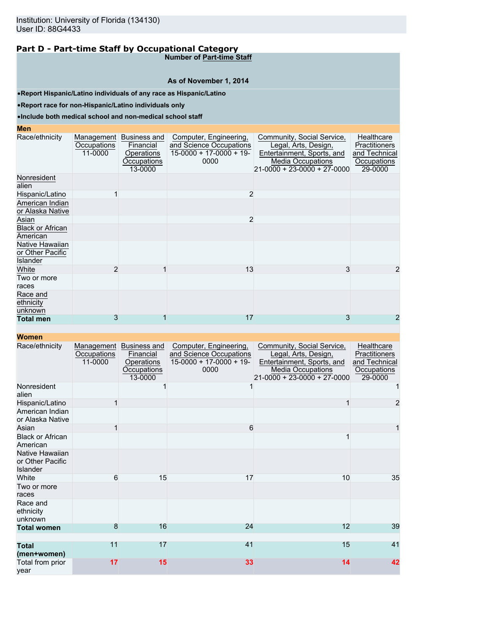**Number of Part-time Staff**

### **As of November 1, 2014**

•**Report Hispanic/Latino individuals of any race as Hispanic/Latino**

•**Report race for non-Hispanic/Latino individuals only**

### •**Include both medical school and non-medical school staff**

| <b>Men</b>                                      |                                      |                                                                   |                                                                                        |                                                                                                                                             |                                                                               |
|-------------------------------------------------|--------------------------------------|-------------------------------------------------------------------|----------------------------------------------------------------------------------------|---------------------------------------------------------------------------------------------------------------------------------------------|-------------------------------------------------------------------------------|
| Race/ethnicity                                  | Management<br>Occupations<br>11-0000 | Business and<br>Financial<br>Operations<br>Occupations<br>13-0000 | Computer, Engineering,<br>and Science Occupations<br>$15-0000 + 17-0000 + 19-$<br>0000 | Community, Social Service,<br>Legal, Arts, Design,<br>Entertainment, Sports, and<br><b>Media Occupations</b><br>21-0000 + 23-0000 + 27-0000 | Healthcare<br><b>Practitioners</b><br>and Technical<br>Occupations<br>29-0000 |
| Nonresident<br>alien                            |                                      |                                                                   |                                                                                        |                                                                                                                                             |                                                                               |
| Hispanic/Latino                                 |                                      |                                                                   | 2                                                                                      |                                                                                                                                             |                                                                               |
| American Indian<br>or Alaska Native             |                                      |                                                                   |                                                                                        |                                                                                                                                             |                                                                               |
| Asian                                           |                                      |                                                                   | $\overline{2}$                                                                         |                                                                                                                                             |                                                                               |
| <b>Black or African</b><br>American             |                                      |                                                                   |                                                                                        |                                                                                                                                             |                                                                               |
| Native Hawaiian<br>or Other Pacific<br>Islander |                                      |                                                                   |                                                                                        |                                                                                                                                             |                                                                               |
| White                                           | $\overline{2}$                       |                                                                   | 13                                                                                     | 3                                                                                                                                           | 2                                                                             |
| Two or more<br>races                            |                                      |                                                                   |                                                                                        |                                                                                                                                             |                                                                               |
| Race and<br>ethnicity<br>unknown                |                                      |                                                                   |                                                                                        |                                                                                                                                             |                                                                               |
| <b>Total men</b>                                | 3                                    |                                                                   | 17                                                                                     | 3                                                                                                                                           | 2                                                                             |

| Race/ethnicity                                  | Management<br>Occupations<br>11-0000 | <b>Business and</b><br>Financial<br>Operations<br>Occupations<br>13-0000 | Computer, Engineering,<br>and Science Occupations<br>$15-0000 + 17-0000 + 19$<br>0000 | Community, Social Service,<br>Legal, Arts, Design,<br>Entertainment, Sports, and<br><b>Media Occupations</b><br>21-0000 + 23-0000 + 27-0000 | Healthcare<br><b>Practitioners</b><br>and Technical<br>Occupations<br>29-0000 |
|-------------------------------------------------|--------------------------------------|--------------------------------------------------------------------------|---------------------------------------------------------------------------------------|---------------------------------------------------------------------------------------------------------------------------------------------|-------------------------------------------------------------------------------|
| Nonresident<br>alien                            |                                      |                                                                          |                                                                                       |                                                                                                                                             | 1                                                                             |
| Hispanic/Latino                                 | 1                                    |                                                                          |                                                                                       |                                                                                                                                             | $\overline{a}$                                                                |
| American Indian<br>or Alaska Native             |                                      |                                                                          |                                                                                       |                                                                                                                                             |                                                                               |
| Asian                                           | 1                                    |                                                                          | 6                                                                                     |                                                                                                                                             | 1                                                                             |
| <b>Black or African</b><br>American             |                                      |                                                                          |                                                                                       |                                                                                                                                             |                                                                               |
| Native Hawaiian<br>or Other Pacific<br>Islander |                                      |                                                                          |                                                                                       |                                                                                                                                             |                                                                               |
| White                                           | 6                                    | 15                                                                       | 17                                                                                    | 10                                                                                                                                          | 35                                                                            |
| Two or more<br>races                            |                                      |                                                                          |                                                                                       |                                                                                                                                             |                                                                               |
| Race and<br>ethnicity<br>unknown                |                                      |                                                                          |                                                                                       |                                                                                                                                             |                                                                               |
| <b>Total women</b>                              | 8                                    | 16                                                                       | 24                                                                                    | 12                                                                                                                                          | 39                                                                            |
| <b>Total</b><br>(men+women)                     | 11                                   | 17                                                                       | 41                                                                                    | 15                                                                                                                                          | 41                                                                            |
| Total from prior<br>vear                        | 17                                   | 15                                                                       | 33                                                                                    | 14                                                                                                                                          | 42                                                                            |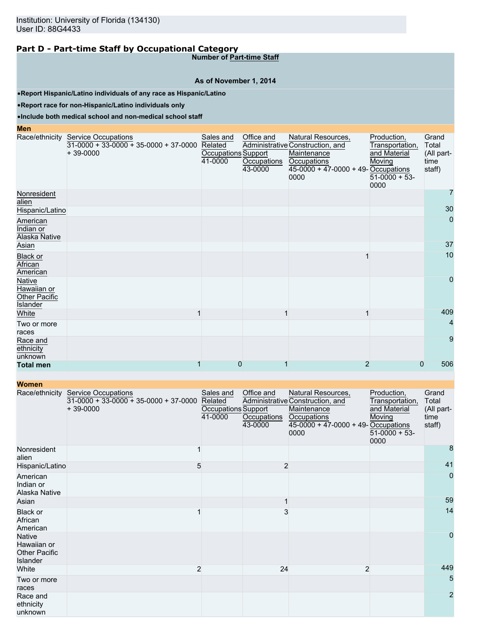**Number of Part-time Staff**

### **As of November 1, 2014**

•**Report Hispanic/Latino individuals of any race as Hispanic/Latino**

•**Report race for non-Hispanic/Latino individuals only**

### •**Include both medical school and non-medical school staff**

**Men**

|                                                    | Race/ethnicity Service Occupations<br>$31-0000 + 33-0000 + 35-0000 + 37-0000$<br>$+39-0000$ | Sales and<br>Related<br>Occupations Support<br>41-0000 | Office and<br>Occupations<br>43-0000 | Natural Resources,<br>Administrative Construction, and<br>Maintenance<br><b>Occupations</b><br>45-0000 + 47-0000 + 49- Occupations<br>0000 | Production,<br>Transportation,<br>and Material<br>Moving<br>$51-0000 + 53$<br>0000 | Grand<br>Total<br>(All part-<br>time<br>staff) |
|----------------------------------------------------|---------------------------------------------------------------------------------------------|--------------------------------------------------------|--------------------------------------|--------------------------------------------------------------------------------------------------------------------------------------------|------------------------------------------------------------------------------------|------------------------------------------------|
| Nonresident<br>alien                               |                                                                                             |                                                        |                                      |                                                                                                                                            |                                                                                    |                                                |
| Hispanic/Latino                                    |                                                                                             |                                                        |                                      |                                                                                                                                            |                                                                                    | 30                                             |
| American<br>Indian or<br>Alaska Native             |                                                                                             |                                                        |                                      |                                                                                                                                            |                                                                                    | $\mathbf 0$                                    |
| Asian                                              |                                                                                             |                                                        |                                      |                                                                                                                                            |                                                                                    | 37                                             |
| Black or<br>African<br>American                    |                                                                                             |                                                        |                                      |                                                                                                                                            |                                                                                    | 10                                             |
| Native<br>Hawaiian or<br>Other Pacific<br>Islander |                                                                                             |                                                        |                                      |                                                                                                                                            |                                                                                    | $\mathbf 0$                                    |
| White                                              |                                                                                             |                                                        |                                      |                                                                                                                                            |                                                                                    | 409                                            |
| Two or more<br>races                               |                                                                                             |                                                        |                                      |                                                                                                                                            |                                                                                    | $\overline{4}$                                 |
| Race and<br>ethnicity<br>unknown                   |                                                                                             |                                                        |                                      |                                                                                                                                            |                                                                                    | 9                                              |
| <b>Total men</b>                                   |                                                                                             | $\Omega$                                               |                                      | 2                                                                                                                                          | 0                                                                                  | 506                                            |

| <b>TYVIIIGH</b>                                                  |                                                                                             |                                                        |                                      |                                                                                                                                       |                                                                                    |                                                |
|------------------------------------------------------------------|---------------------------------------------------------------------------------------------|--------------------------------------------------------|--------------------------------------|---------------------------------------------------------------------------------------------------------------------------------------|------------------------------------------------------------------------------------|------------------------------------------------|
|                                                                  | Race/ethnicity Service Occupations<br>$31-0000 + 33-0000 + 35-0000 + 37-0000$<br>$+39-0000$ | Sales and<br>Related<br>Occupations Support<br>41-0000 | Office and<br>Occupations<br>43-0000 | Natural Resources,<br>Administrative Construction, and<br>Maintenance<br>Occupations<br>$45-0000 + 47-0000 + 49$ -Occupations<br>0000 | Production,<br>Transportation,<br>and Material<br>Moving<br>$51-0000 + 53$<br>0000 | Grand<br>Total<br>(All part-<br>time<br>staff) |
| Nonresident<br>alien                                             |                                                                                             |                                                        |                                      |                                                                                                                                       |                                                                                    | 8                                              |
| Hispanic/Latino                                                  |                                                                                             | 5                                                      | $\overline{2}$                       |                                                                                                                                       |                                                                                    | 41                                             |
| American<br>Indian or<br>Alaska Native                           |                                                                                             |                                                        |                                      |                                                                                                                                       |                                                                                    | $\mathbf 0$                                    |
| Asian                                                            |                                                                                             |                                                        |                                      |                                                                                                                                       |                                                                                    | 59                                             |
| Black or<br>African<br>American                                  |                                                                                             |                                                        | 3                                    |                                                                                                                                       |                                                                                    | 14                                             |
| <b>Native</b><br>Hawaiian or<br><b>Other Pacific</b><br>Islander |                                                                                             |                                                        |                                      |                                                                                                                                       |                                                                                    | $\overline{0}$                                 |
| White                                                            |                                                                                             | $\overline{2}$                                         | 24                                   | $\overline{2}$                                                                                                                        |                                                                                    | 449                                            |
| Two or more<br>races                                             |                                                                                             |                                                        |                                      |                                                                                                                                       |                                                                                    | 5                                              |
| Race and<br>ethnicity<br>unknown                                 |                                                                                             |                                                        |                                      |                                                                                                                                       |                                                                                    | $\overline{2}$                                 |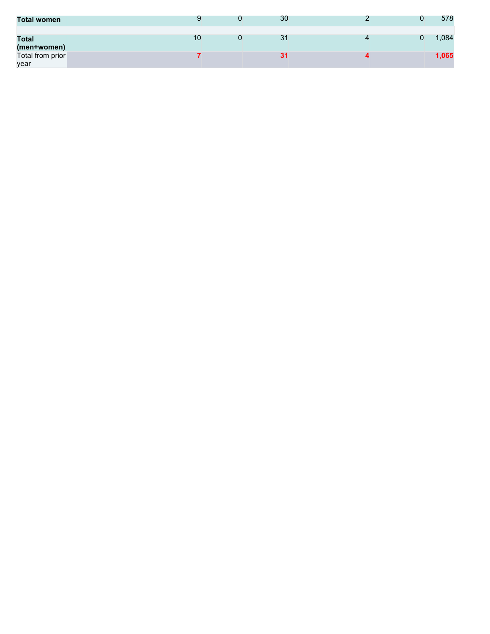| <b>Total women</b>          |    | 30             |  | 578   |
|-----------------------------|----|----------------|--|-------|
| <b>Total</b><br>(men+women) | 10 | 3 <sup>1</sup> |  | ,084  |
| Total from prior<br>year    |    | 31             |  | 1,065 |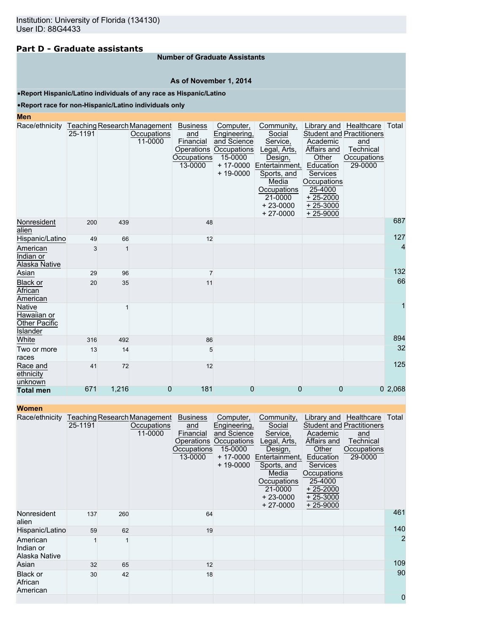# **Part D - Graduate assistants**

### **Number of Graduate Assistants**

### **As of November 1, 2014**

•**Report Hispanic/Latino individuals of any race as Hispanic/Latino**

### •**Report race for non-Hispanic/Latino individuals only**

### **Men**

| Race/ethnicity Teaching Research Management               | 25-1191 |       | Occupations<br>11-0000 | <b>Business</b><br>and<br>Financial<br>Operations<br><b>Occupations</b><br>13-0000 | Computer,<br>Engineering,<br>and Science<br>Occupations<br>15-0000<br>$+ 17 - 0000$<br>$+ 19 - 0000$ | Community,<br>Social<br>Service,<br>Legal, Arts,<br>Design,<br>Entertainment,<br>Sports, and<br>Media<br>Occupations | Library and   Healthcare<br>Academic<br>Affairs and<br>Other<br>Education<br>Services<br>Occupations<br>25-4000 | <b>Student and Practitioners</b><br>and<br>Technical<br>Occupations<br>29-0000 | Total  |
|-----------------------------------------------------------|---------|-------|------------------------|------------------------------------------------------------------------------------|------------------------------------------------------------------------------------------------------|----------------------------------------------------------------------------------------------------------------------|-----------------------------------------------------------------------------------------------------------------|--------------------------------------------------------------------------------|--------|
|                                                           |         |       |                        |                                                                                    |                                                                                                      | 21-0000<br>$+23-0000$<br>$+27-0000$                                                                                  | $+25-2000$<br>$+25-3000$<br>$+25-9000$                                                                          |                                                                                |        |
| Nonresident<br>alien                                      | 200     | 439   |                        | 48                                                                                 |                                                                                                      |                                                                                                                      |                                                                                                                 |                                                                                | 687    |
| Hispanic/Latino                                           | 49      | 66    |                        | 12                                                                                 |                                                                                                      |                                                                                                                      |                                                                                                                 |                                                                                | 127    |
| American<br>Indian or<br>Alaska Native                    | 3       | 1     |                        |                                                                                    |                                                                                                      |                                                                                                                      |                                                                                                                 |                                                                                | 4      |
| Asian                                                     | 29      | 96    |                        | $\overline{7}$                                                                     |                                                                                                      |                                                                                                                      |                                                                                                                 |                                                                                | 132    |
| <b>Black or</b><br>African<br>American                    | 20      | 35    |                        | 11                                                                                 |                                                                                                      |                                                                                                                      |                                                                                                                 |                                                                                | 66     |
| Native<br>Hawaiian or<br><b>Other Pacific</b><br>Islander |         |       |                        |                                                                                    |                                                                                                      |                                                                                                                      |                                                                                                                 |                                                                                | 1      |
| White                                                     | 316     | 492   |                        | 86                                                                                 |                                                                                                      |                                                                                                                      |                                                                                                                 |                                                                                | 894    |
| Two or more<br>races                                      | 13      | 14    |                        | 5                                                                                  |                                                                                                      |                                                                                                                      |                                                                                                                 |                                                                                | 32     |
| Race and<br>ethnicity<br>unknown                          | 41      | 72    |                        | 12                                                                                 |                                                                                                      |                                                                                                                      |                                                                                                                 |                                                                                | 125    |
| <b>Total men</b>                                          | 671     | 1,216 | 0                      | 181                                                                                | 0                                                                                                    | 0                                                                                                                    | 0                                                                                                               |                                                                                | 02,068 |

|  | Women |  |  |
|--|-------|--|--|
|  |       |  |  |

| <b>Women</b>                           |         |     |                                                        |                                                               |                                                                                                                 |                                                                                                                                                             |                                                                                                                               |                                                                                                          |                |
|----------------------------------------|---------|-----|--------------------------------------------------------|---------------------------------------------------------------|-----------------------------------------------------------------------------------------------------------------|-------------------------------------------------------------------------------------------------------------------------------------------------------------|-------------------------------------------------------------------------------------------------------------------------------|----------------------------------------------------------------------------------------------------------|----------------|
| Race/ethnicity                         | 25-1191 |     | Teaching Research Management<br>Occupations<br>11-0000 | <b>Business</b><br>and<br>Financial<br>Occupations<br>13-0000 | Computer,<br>Engineering,<br>and Science<br>Operations Occupations<br>15-0000<br>$+ 17 - 0000$<br>$+ 19 - 0000$ | Community,<br>Social<br>Service,<br>Legal, Arts,<br>Design,<br>Entertainment,<br>Sports, and<br>Media<br>Occupations<br>21-0000<br>$+23-0000$<br>$+27-0000$ | Academic<br>Affairs and<br>Other<br>Education<br>Services<br>Occupations<br>25-4000<br>$+25-2000$<br>$+25-3000$<br>$+25-9000$ | Library and Healthcare<br><b>Student and Practitioners</b><br>and<br>Technical<br>Occupations<br>29-0000 | Total          |
| Nonresident<br>alien                   | 137     | 260 |                                                        | 64                                                            |                                                                                                                 |                                                                                                                                                             |                                                                                                                               |                                                                                                          | 461            |
| Hispanic/Latino                        | 59      | 62  |                                                        | 19                                                            |                                                                                                                 |                                                                                                                                                             |                                                                                                                               |                                                                                                          | 140            |
| American<br>Indian or<br>Alaska Native |         |     |                                                        |                                                               |                                                                                                                 |                                                                                                                                                             |                                                                                                                               |                                                                                                          | $\overline{2}$ |
| Asian                                  | 32      | 65  |                                                        | 12                                                            |                                                                                                                 |                                                                                                                                                             |                                                                                                                               |                                                                                                          | 109            |
| <b>Black or</b><br>African<br>American | 30      | 42  |                                                        | 18                                                            |                                                                                                                 |                                                                                                                                                             |                                                                                                                               |                                                                                                          | 90             |
|                                        |         |     |                                                        |                                                               |                                                                                                                 |                                                                                                                                                             |                                                                                                                               |                                                                                                          | 0              |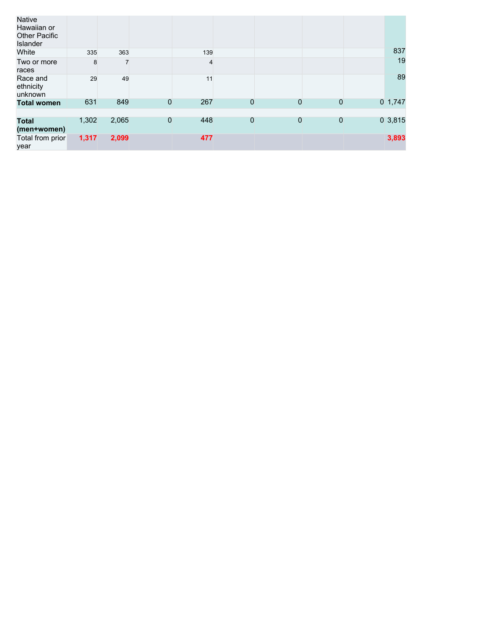| Native<br>Hawaiian or<br><b>Other Pacific</b><br>Islander |       |       |   |     |                |   |                |           |
|-----------------------------------------------------------|-------|-------|---|-----|----------------|---|----------------|-----------|
| White                                                     | 335   | 363   |   | 139 |                |   |                | 837       |
| Two or more<br>races                                      | 8     |       |   | 4   |                |   |                | 19        |
| Race and<br>ethnicity<br>unknown                          | 29    | 49    |   | 11  |                |   |                | 89        |
| <b>Total women</b>                                        | 631   | 849   | 0 | 267 | 0              | 0 | $\overline{0}$ | $0$ 1,747 |
|                                                           |       |       |   |     |                |   |                |           |
| <b>Total</b><br>(men+women)                               | 1,302 | 2,065 | 0 | 448 | $\overline{0}$ | 0 | $\mathbf 0$    | 03,815    |
| Total from prior<br>year                                  | 1,317 | 2,099 |   | 477 |                |   |                | 3,893     |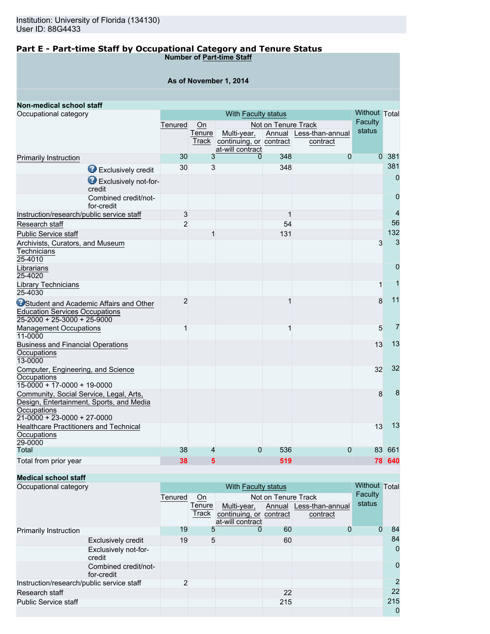### **Part E - Part-time Staff by Occupational Category and Tenure Status Number of Part-time Staff**

|  | As of November 1, 2014 |  |
|--|------------------------|--|
|--|------------------------|--|

| Non-medical school staff                                                                                                            |                |              |                                             |                     |                         |                |                |
|-------------------------------------------------------------------------------------------------------------------------------------|----------------|--------------|---------------------------------------------|---------------------|-------------------------|----------------|----------------|
| Occupational category                                                                                                               |                |              | With Faculty status                         |                     |                         | Without Total  |                |
|                                                                                                                                     | Tenured        | On           |                                             | Not on Tenure Track |                         | Faculty        |                |
|                                                                                                                                     |                | Tenure       | Multi-year,                                 |                     | Annual Less-than-annual | status         |                |
|                                                                                                                                     |                | Track        | continuing, or contract<br>at-will contract |                     | contract                |                |                |
| Primarily Instruction                                                                                                               | 30             | 3            | 0                                           | 348                 | $\mathbf{0}$            | $\overline{0}$ | 381            |
|                                                                                                                                     | 30             | 3            |                                             | 348                 |                         |                | 381            |
| Exclusively credit<br>Exclusively not-for-                                                                                          |                |              |                                             |                     |                         |                | $\overline{0}$ |
| credit                                                                                                                              |                |              |                                             |                     |                         |                | $\overline{0}$ |
| Combined credit/not-<br>for-credit                                                                                                  |                |              |                                             |                     |                         |                |                |
| Instruction/research/public service staff                                                                                           | 3              |              |                                             | 1                   |                         |                | $\overline{4}$ |
| Research staff                                                                                                                      | $\overline{2}$ |              |                                             | 54                  |                         |                | 56             |
| <b>Public Service staff</b>                                                                                                         |                | $\mathbf{1}$ |                                             | 131                 |                         |                | 132            |
| Archivists, Curators, and Museum<br>Technicians<br>25-4010                                                                          |                |              |                                             |                     |                         | 3              | 3              |
| Librarians<br>25-4020                                                                                                               |                |              |                                             |                     |                         |                | $\overline{0}$ |
| Library Technicians<br>25-4030                                                                                                      |                |              |                                             |                     |                         | $\mathbf{1}$   | 1              |
| <b>O</b> Student and Academic Affairs and Other<br><b>Education Services Occupations</b><br>25-2000 + 25-3000 + 25-9000             | $\overline{2}$ |              |                                             |                     |                         | 8              | 11             |
| <b>Management Occupations</b><br>11-0000                                                                                            | 1              |              |                                             | 1                   |                         | 5              | $\overline{7}$ |
| <b>Business and Financial Operations</b><br>Occupations<br>13-0000                                                                  |                |              |                                             |                     |                         | 13             | 13             |
| Computer, Engineering, and Science<br>Occupations<br>$15-0000 + 17-0000 + 19-0000$                                                  |                |              |                                             |                     |                         | 32             | 32             |
| Community, Social Service, Legal, Arts,<br>Design, Entertainment, Sports, and Media<br>Occupations<br>$21-0000 + 23-0000 + 27-0000$ |                |              |                                             |                     |                         | 8              | 8              |
| <b>Healthcare Practitioners and Technical</b><br>Occupations<br>29-0000                                                             |                |              |                                             |                     |                         | 13             | 13             |
| <b>Total</b>                                                                                                                        | 38             | 4            | $\mathbf{0}$                                | 536                 | 0                       | 83             | 661            |
| Total from prior year                                                                                                               | 38             | 5            |                                             | 519                 |                         |                | 78 640         |

# **Medical school staff**

| Occupational category                     |                                    | With Faculty status |        |                                             |                     |                         |         |                |
|-------------------------------------------|------------------------------------|---------------------|--------|---------------------------------------------|---------------------|-------------------------|---------|----------------|
|                                           |                                    | Tenured             | On     |                                             | Not on Tenure Track |                         | Faculty |                |
|                                           |                                    |                     | Tenure | Multi-year,                                 |                     | Annual Less-than-annual | status  |                |
|                                           |                                    |                     | Track  | continuing, or contract<br>at-will contract |                     | contract                |         |                |
| <b>Primarily Instruction</b>              |                                    | 19                  | 5      |                                             | 60                  |                         |         | 84             |
|                                           |                                    |                     |        |                                             |                     |                         |         |                |
|                                           | <b>Exclusively credit</b>          | 19                  | 5      |                                             | 60                  |                         |         | 84             |
|                                           | Exclusively not-for-<br>credit     |                     |        |                                             |                     |                         |         | 0              |
|                                           | Combined credit/not-<br>for-credit |                     |        |                                             |                     |                         |         | $\mathbf 0$    |
| Instruction/research/public service staff |                                    | 2                   |        |                                             |                     |                         |         | $\overline{2}$ |
| Research staff                            |                                    |                     |        |                                             | 22                  |                         |         | 22             |
| <b>Public Service staff</b>               |                                    |                     |        |                                             | 215                 |                         |         | 215            |
|                                           |                                    |                     |        |                                             |                     |                         |         | 0              |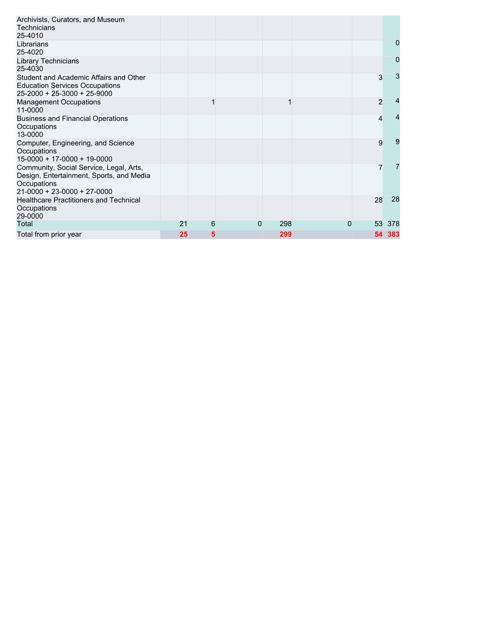| Archivists, Curators, and Museum<br><b>Technicians</b><br>25-4010                                                                         |    |   |   |     |          |                |     |
|-------------------------------------------------------------------------------------------------------------------------------------------|----|---|---|-----|----------|----------------|-----|
| Librarians<br>25-4020                                                                                                                     |    |   |   |     |          |                | 0   |
| <b>Library Technicians</b><br>25-4030                                                                                                     |    |   |   |     |          |                | 0   |
| Student and Academic Affairs and Other<br><b>Education Services Occupations</b><br>$25 - 2000 + 25 - 3000 + 25 - 9000$                    |    |   |   |     |          | 3              | 3   |
| <b>Management Occupations</b><br>11-0000                                                                                                  |    |   |   |     |          | $\overline{2}$ |     |
| <b>Business and Financial Operations</b><br>Occupations<br>13-0000                                                                        |    |   |   |     |          | 4              |     |
| Computer, Engineering, and Science<br>Occupations<br>$15-0000 + 17-0000 + 19-0000$                                                        |    |   |   |     |          | 9              | 9   |
| Community, Social Service, Legal, Arts,<br>Design, Entertainment, Sports, and Media<br>Occupations<br>$21 - 0000 + 23 - 0000 + 27 - 0000$ |    |   |   |     |          |                |     |
| <b>Healthcare Practitioners and Technical</b><br>Occupations<br>29-0000                                                                   |    |   |   |     |          | 28             | 28  |
| Total                                                                                                                                     | 21 | 6 | 0 | 298 | $\Omega$ | 53             | 378 |
| Total from prior year                                                                                                                     | 25 | 5 |   | 299 |          | 54.            | 383 |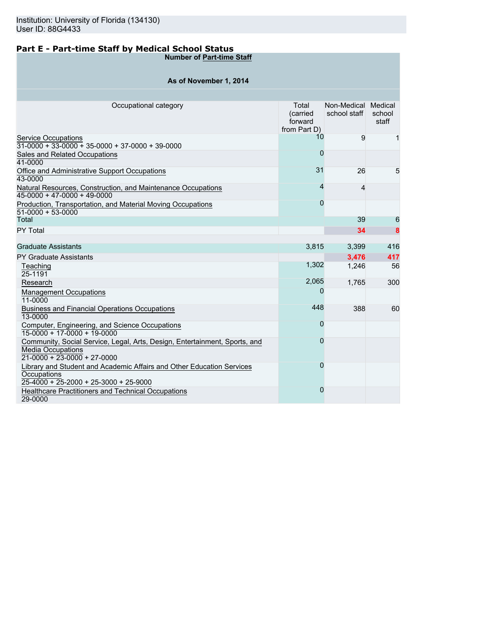# **Part E - Part-time Staff by Medical School Status**

**Number of Part-time Staff**

# **As of November 1, 2014**

| Occupational category                                                                                                                   | Total<br>(carried<br>forward<br>from Part D) | Non-Medical Medical<br>school staff | school<br>staff |
|-----------------------------------------------------------------------------------------------------------------------------------------|----------------------------------------------|-------------------------------------|-----------------|
| <b>Service Occupations</b><br>$31-0000 + 33-0000 + 35-0000 + 37-0000 + 39-0000$                                                         | 10                                           | 9                                   | 1               |
| Sales and Related Occupations<br>41-0000                                                                                                | $\overline{0}$                               |                                     |                 |
| Office and Administrative Support Occupations<br>43-0000                                                                                | 31                                           | 26                                  | 5               |
| Natural Resources, Construction, and Maintenance Occupations<br>$45-0000 + 47-0000 + 49-0000$                                           | 4                                            | $\overline{4}$                      |                 |
| Production, Transportation, and Material Moving Occupations<br>$51-0000 + 53-0000$                                                      | $\overline{0}$                               |                                     |                 |
| Total                                                                                                                                   |                                              | 39                                  | 6               |
| PY Total                                                                                                                                |                                              | 34                                  | 8               |
|                                                                                                                                         |                                              |                                     |                 |
| <b>Graduate Assistants</b>                                                                                                              | 3,815                                        | 3,399                               | 416             |
| <b>PY Graduate Assistants</b>                                                                                                           |                                              | 3,476                               | 417             |
| Teaching<br>25-1191                                                                                                                     | 1,302                                        | 1,246                               | 56              |
| Research                                                                                                                                | 2,065                                        | 1.765                               | 300             |
| <b>Management Occupations</b><br>11-0000                                                                                                | 0                                            |                                     |                 |
| <b>Business and Financial Operations Occupations</b><br>13-0000                                                                         | 448                                          | 388                                 | 60              |
| Computer, Engineering, and Science Occupations<br>15-0000 + 17-0000 + 19-0000                                                           | 0                                            |                                     |                 |
| Community, Social Service, Legal, Arts, Design, Entertainment, Sports, and<br><b>Media Occupations</b><br>$21-0000 + 23-0000 + 27-0000$ | $\overline{0}$                               |                                     |                 |
| Library and Student and Academic Affairs and Other Education Services<br>Occupations                                                    | $\overline{0}$                               |                                     |                 |
| $25-4000 + 25-2000 + 25-3000 + 25-9000$                                                                                                 | $\overline{0}$                               |                                     |                 |
| Healthcare Practitioners and Technical Occupations<br>29-0000                                                                           |                                              |                                     |                 |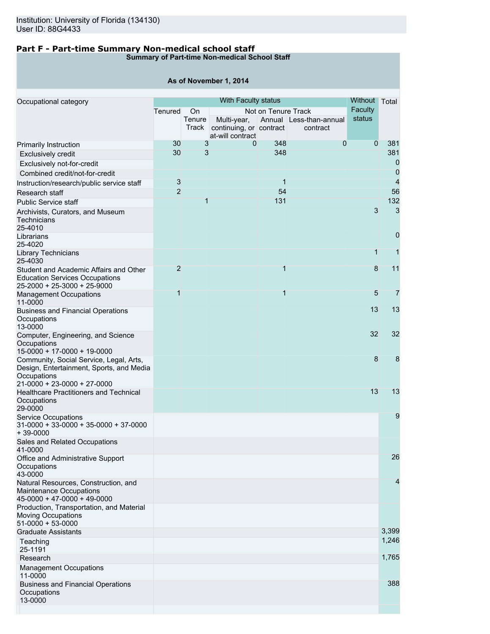13-0000

# **Part F - Part-time Summary Non-medical school staff**

**Summary of Part-time Non-medical School Staff**

|                                                                                                                |                 |                 | As of November 1, 2014                                     |                     |                                     |              |                |
|----------------------------------------------------------------------------------------------------------------|-----------------|-----------------|------------------------------------------------------------|---------------------|-------------------------------------|--------------|----------------|
|                                                                                                                |                 | <b>Without</b>  | Total                                                      |                     |                                     |              |                |
| Occupational category                                                                                          | Tenured         | <b>On</b>       | With Faculty status                                        | Not on Tenure Track |                                     | Faculty      |                |
|                                                                                                                |                 | Tenure<br>Track | Multi-year,<br>continuing, or contract<br>at-will contract |                     | Annual Less-than-annual<br>contract | status       |                |
| Primarily Instruction                                                                                          | 30              | 3               | 0                                                          | 348                 | $\mathbf{0}$                        | $\mathbf 0$  | 381            |
| <b>Exclusively credit</b>                                                                                      | 30 <sup>°</sup> | 3               |                                                            | 348                 |                                     |              | 381            |
| Exclusively not-for-credit                                                                                     |                 |                 |                                                            |                     |                                     |              | $\overline{0}$ |
| Combined credit/not-for-credit                                                                                 |                 |                 |                                                            |                     |                                     |              | 0              |
| Instruction/research/public service staff                                                                      | 3               |                 |                                                            | 1                   |                                     |              | $\overline{4}$ |
| Research staff                                                                                                 | $\overline{2}$  |                 |                                                            | 54                  |                                     |              | 56             |
| <b>Public Service staff</b>                                                                                    |                 | 1               |                                                            | 131                 |                                     |              | 132            |
| Archivists, Curators, and Museum<br>Technicians<br>25-4010                                                     |                 |                 |                                                            |                     |                                     | 3            | 3              |
| Librarians<br>25-4020                                                                                          |                 |                 |                                                            |                     |                                     |              | $\mathbf 0$    |
| Library Technicians<br>25-4030                                                                                 |                 |                 |                                                            |                     |                                     | $\mathbf{1}$ | $\overline{1}$ |
| Student and Academic Affairs and Other<br><b>Education Services Occupations</b><br>25-2000 + 25-3000 + 25-9000 | $\overline{2}$  |                 |                                                            | 1                   |                                     | 8            | 11             |
| <b>Management Occupations</b><br>11-0000                                                                       | $\overline{1}$  |                 |                                                            | $\overline{1}$      |                                     | 5            | $\overline{7}$ |
| <b>Business and Financial Operations</b><br>Occupations<br>13-0000                                             |                 |                 |                                                            |                     |                                     | 13           | 13             |
| Computer, Engineering, and Science<br>Occupations<br>15-0000 + 17-0000 + 19-0000                               |                 |                 |                                                            |                     |                                     | 32           | 32             |
| Community, Social Service, Legal, Arts,<br>Design, Entertainment, Sports, and Media<br>Occupations             |                 |                 |                                                            |                     |                                     | 8            | 8              |
| 21-0000 + 23-0000 + 27-0000<br><b>Healthcare Practitioners and Technical</b><br>Occupations                    |                 |                 |                                                            |                     |                                     | 13           | 13             |
| 29-0000<br><b>Service Occupations</b>                                                                          |                 |                 |                                                            |                     |                                     |              | 9              |
| $31-0000 + 33-0000 + 35-0000 + 37-0000$<br>$+39-0000$                                                          |                 |                 |                                                            |                     |                                     |              |                |
| Sales and Related Occupations<br>41-0000                                                                       |                 |                 |                                                            |                     |                                     |              |                |
| Office and Administrative Support<br>Occupations<br>43-0000                                                    |                 |                 |                                                            |                     |                                     |              | 26             |
| Natural Resources, Construction, and<br><b>Maintenance Occupations</b><br>45-0000 + 47-0000 + 49-0000          |                 |                 |                                                            |                     |                                     |              | 4              |
| Production, Transportation, and Material<br><b>Moving Occupations</b><br>$51-0000 + 53-0000$                   |                 |                 |                                                            |                     |                                     |              |                |
| <b>Graduate Assistants</b>                                                                                     |                 |                 |                                                            |                     |                                     |              | 3,399          |
| Teaching<br>25-1191                                                                                            |                 |                 |                                                            |                     |                                     |              | 1,246          |
| Research                                                                                                       |                 |                 |                                                            |                     |                                     |              | 1,765          |
| <b>Management Occupations</b><br>11-0000                                                                       |                 |                 |                                                            |                     |                                     |              |                |
| <b>Business and Financial Operations</b><br>Occupations                                                        |                 |                 |                                                            |                     |                                     |              | 388            |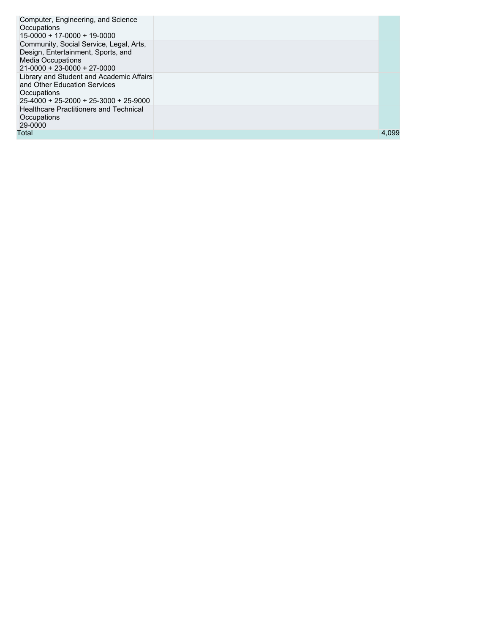| Computer, Engineering, and Science<br>Occupations<br>15-0000 + 17-0000 + 19-0000                                                           |       |
|--------------------------------------------------------------------------------------------------------------------------------------------|-------|
| Community, Social Service, Legal, Arts,<br>Design, Entertainment, Sports, and<br><b>Media Occupations</b><br>$21-0000 + 23-0000 + 27-0000$ |       |
| Library and Student and Academic Affairs<br>and Other Education Services<br>Occupations<br>$25-4000 + 25-2000 + 25-3000 + 25-9000$         |       |
| <b>Healthcare Practitioners and Technical</b><br>Occupations<br>29-0000                                                                    |       |
| Total                                                                                                                                      | 4,099 |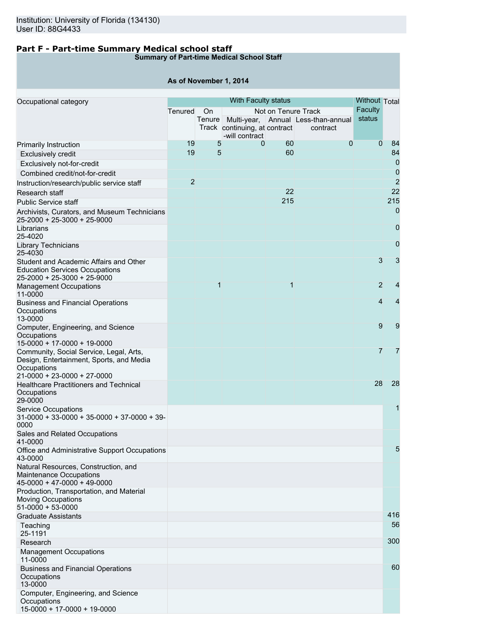# **Part F - Part-time Summary Medical school staff**

# **Summary of Part-time Medical School Staff**

# **As of November 1, 2014**

| Occupational category                                                                                                                     |                | With Faculty status |                                                 |                     |                                                        |                |                |
|-------------------------------------------------------------------------------------------------------------------------------------------|----------------|---------------------|-------------------------------------------------|---------------------|--------------------------------------------------------|----------------|----------------|
|                                                                                                                                           | Tenured        | On                  |                                                 | Not on Tenure Track |                                                        | Faculty        |                |
|                                                                                                                                           |                |                     | Track continuing, at contract<br>-will contract |                     | Tenure Multi-year, Annual Less-than-annual<br>contract | status         |                |
| <b>Primarily Instruction</b>                                                                                                              | 19             | 5                   | 0                                               | 60                  | 0                                                      | $\overline{0}$ | 84             |
| <b>Exclusively credit</b>                                                                                                                 | 19             | 5                   |                                                 | 60                  |                                                        |                | 84             |
| Exclusively not-for-credit                                                                                                                |                |                     |                                                 |                     |                                                        |                | $\overline{0}$ |
| Combined credit/not-for-credit                                                                                                            |                |                     |                                                 |                     |                                                        |                | 0              |
| Instruction/research/public service staff                                                                                                 | $\overline{2}$ |                     |                                                 |                     |                                                        |                | $\overline{2}$ |
| Research staff                                                                                                                            |                |                     |                                                 | 22                  |                                                        |                | 22             |
| <b>Public Service staff</b>                                                                                                               |                |                     |                                                 | 215                 |                                                        |                | 215            |
|                                                                                                                                           |                |                     |                                                 |                     |                                                        |                | 0              |
| Archivists, Curators, and Museum Technicians<br>25-2000 + 25-3000 + 25-9000                                                               |                |                     |                                                 |                     |                                                        |                | 0              |
| Librarians<br>25-4020                                                                                                                     |                |                     |                                                 |                     |                                                        |                |                |
| Library Technicians<br>25-4030                                                                                                            |                |                     |                                                 |                     |                                                        |                | $\mathbf 0$    |
| Student and Academic Affairs and Other<br><b>Education Services Occupations</b><br>25-2000 + 25-3000 + 25-9000                            |                |                     |                                                 |                     |                                                        | 3              | 3              |
| <b>Management Occupations</b><br>11-0000                                                                                                  |                | 1                   |                                                 | 1                   |                                                        | $\overline{2}$ | 4              |
| <b>Business and Financial Operations</b><br>Occupations<br>13-0000                                                                        |                |                     |                                                 |                     |                                                        | 4              | 4              |
| Computer, Engineering, and Science<br>Occupations<br>15-0000 + 17-0000 + 19-0000                                                          |                |                     |                                                 |                     |                                                        | 9              | 9              |
| Community, Social Service, Legal, Arts,<br>Design, Entertainment, Sports, and Media<br>Occupations<br>$21 - 0000 + 23 - 0000 + 27 - 0000$ |                |                     |                                                 |                     |                                                        | $\overline{7}$ | 7              |
| <b>Healthcare Practitioners and Technical</b><br>Occupations<br>29-0000                                                                   |                |                     |                                                 |                     |                                                        | 28             | 28             |
| <b>Service Occupations</b><br>$31-0000 + 33-0000 + 35-0000 + 37-0000 + 39-$<br>0000                                                       |                |                     |                                                 |                     |                                                        |                | 1              |
| Sales and Related Occupations<br>41-0000                                                                                                  |                |                     |                                                 |                     |                                                        |                |                |
| Office and Administrative Support Occupations<br>43-0000                                                                                  |                |                     |                                                 |                     |                                                        |                | 5              |
| Natural Resources, Construction, and<br>Maintenance Occupations<br>$45-0000 + 47-0000 + 49-0000$                                          |                |                     |                                                 |                     |                                                        |                |                |
| Production, Transportation, and Material<br><b>Moving Occupations</b><br>$51-0000 + 53-0000$                                              |                |                     |                                                 |                     |                                                        |                |                |
| <b>Graduate Assistants</b>                                                                                                                |                |                     |                                                 |                     |                                                        |                | 416            |
| Teaching<br>25-1191                                                                                                                       |                |                     |                                                 |                     |                                                        |                | 56             |
| Research                                                                                                                                  |                |                     |                                                 |                     |                                                        |                | 300            |
| <b>Management Occupations</b><br>11-0000                                                                                                  |                |                     |                                                 |                     |                                                        |                |                |
| <b>Business and Financial Operations</b><br>Occupations<br>13-0000                                                                        |                |                     |                                                 |                     |                                                        |                | 60             |
| Computer, Engineering, and Science<br>Occupations<br>15-0000 + 17-0000 + 19-0000                                                          |                |                     |                                                 |                     |                                                        |                |                |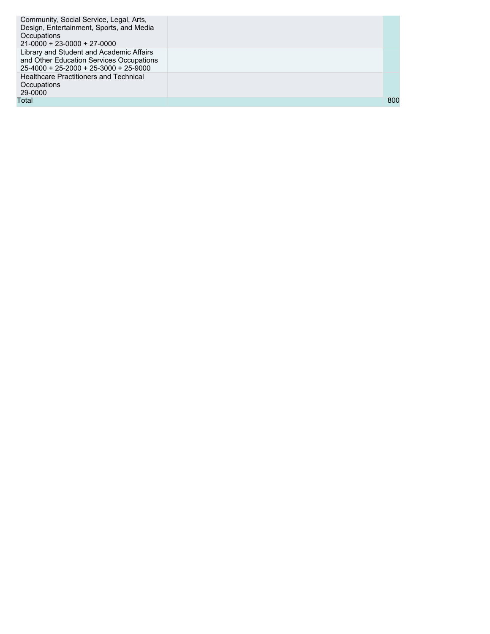| Community, Social Service, Legal, Arts,<br>Design, Entertainment, Sports, and Media<br>Occupations<br>$21-0000 + 23-0000 + 27-0000$ |     |
|-------------------------------------------------------------------------------------------------------------------------------------|-----|
| Library and Student and Academic Affairs<br>and Other Education Services Occupations<br>$25-4000 + 25-2000 + 25-3000 + 25-9000$     |     |
| <b>Healthcare Practitioners and Technical</b><br>Occupations<br>29-0000                                                             |     |
| Total                                                                                                                               | 800 |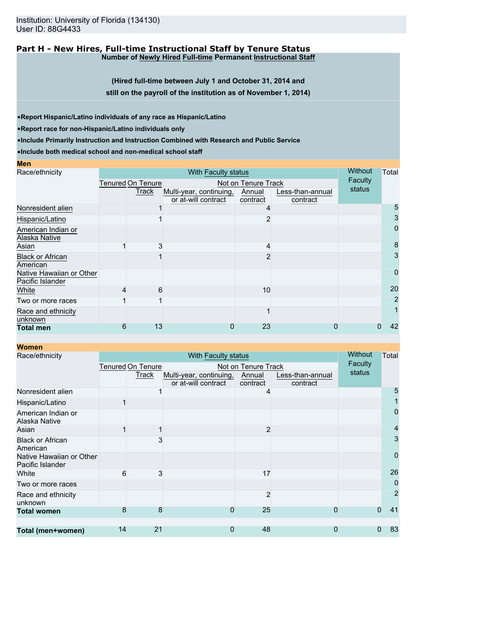Institution: University of Florida (134130) User ID: 88G4433

### **Part H - New Hires, Full-time Instructional Staff by Tenure Status Number of Newly Hired Full-time Permanent Instructional Staff**

**(Hired full-time between July 1 and October 31, 2014 and still on the payroll of the institution as of November 1, 2014)**

•**Report Hispanic/Latino individuals of any race as Hispanic/Latino**

•**Report race for non-Hispanic/Latino individuals only**

**Men**

•**Include Primarily Instruction and Instruction Combined with Research and Public Service**

•**Include both medical school and non-medical school staff**

| Race/ethnicity                               |                                          | <b>Without</b> | Total                                          |                    |                              |         |    |
|----------------------------------------------|------------------------------------------|----------------|------------------------------------------------|--------------------|------------------------------|---------|----|
|                                              | Tenured On Tenure<br>Not on Tenure Track |                |                                                |                    |                              | Faculty |    |
|                                              |                                          | Track          | Multi-year, continuing,<br>or at-will contract | Annual<br>contract | Less-than-annual<br>contract | status  |    |
| Nonresident alien                            |                                          |                |                                                |                    |                              |         | 5  |
| Hispanic/Latino                              |                                          |                |                                                |                    |                              |         | 3  |
| American Indian or<br>Alaska Native          |                                          |                |                                                |                    |                              |         | 0  |
| Asian                                        |                                          | 3              |                                                |                    |                              |         | 8  |
| <b>Black or African</b><br>American          |                                          |                |                                                |                    |                              |         | 3  |
| Native Hawaiian or Other<br>Pacific Islander |                                          |                |                                                |                    |                              |         | 0  |
| White                                        |                                          | 6              |                                                | 10                 |                              |         | 20 |
| Two or more races                            |                                          |                |                                                |                    |                              |         | 2  |
| Race and ethnicity<br>unknown                |                                          |                |                                                |                    |                              |         |    |
| <b>Total men</b>                             | 6                                        | 13             | 0                                              | 23                 |                              |         | 42 |

**Women**<br>Race/ethnicity With Faculty status Tenured On Tenure **Track** Not on Tenure Track Multi-year, continuing, or at-will contract Annual contract Less-than-annual contract **Without Faculty** status **Total** Nonresident alien 1 4 5 Hispanic/Latino 1 1 American Indian or Alaska Native 0 Asian 1 1 2 4 Black or African American  $\sim$  3 3 Native Hawaiian or Other Pacific Islander 0 White 6 3 17 26 Two or more races 0 Race and ethnicity unknown 2 2 **Total women** 8 8 0 25 0 0 41 **Total (men+women)** 14 21 0 48 0 0 83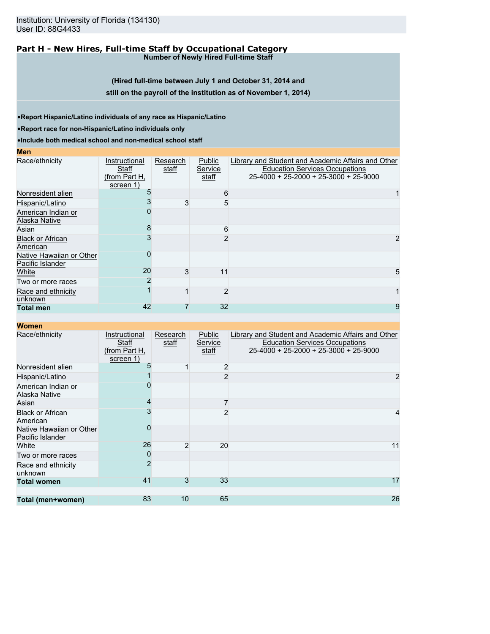Institution: University of Florida (134130) User ID: 88G4433

### **Part H - New Hires, Full-time Staff by Occupational Category Number of Newly Hired Full-time Staff**

**(Hired full-time between July 1 and October 31, 2014 and still on the payroll of the institution as of November 1, 2014)**

•**Report Hispanic/Latino individuals of any race as Hispanic/Latino**

•**Report race for non-Hispanic/Latino individuals only**

•**Include both medical school and non-medical school staff**

**Men**

| Race/ethnicity                               | Instructional<br>Staff<br>(from Part H,<br>screen 1) | Research<br>staff | Public<br>Service<br>staff | Library and Student and Academic Affairs and Other<br><b>Education Services Occupations</b><br>$25-4000 + 25-2000 + 25-3000 + 25-9000$ |
|----------------------------------------------|------------------------------------------------------|-------------------|----------------------------|----------------------------------------------------------------------------------------------------------------------------------------|
| Nonresident alien                            |                                                      |                   | 6                          |                                                                                                                                        |
| Hispanic/Latino                              |                                                      |                   | 5                          |                                                                                                                                        |
| American Indian or<br>Alaska Native          |                                                      |                   |                            |                                                                                                                                        |
| Asian                                        |                                                      |                   | 6                          |                                                                                                                                        |
| <b>Black or African</b><br>American          |                                                      |                   |                            |                                                                                                                                        |
| Native Hawaiian or Other<br>Pacific Islander |                                                      |                   |                            |                                                                                                                                        |
| White                                        | 20                                                   |                   | 11                         |                                                                                                                                        |
| Two or more races                            |                                                      |                   |                            |                                                                                                                                        |
| Race and ethnicity<br>unknown                |                                                      |                   | 2                          |                                                                                                                                        |
| <b>Total men</b>                             | 42                                                   |                   | 32                         | 9                                                                                                                                      |

| Race/ethnicity                               | Instructional<br>Staff<br>(from Part H,<br>screen 1) | Research<br>staff | Public<br>Service<br>staff | Library and Student and Academic Affairs and Other<br><b>Education Services Occupations</b><br>25-4000 + 25-2000 + 25-3000 + 25-9000 |
|----------------------------------------------|------------------------------------------------------|-------------------|----------------------------|--------------------------------------------------------------------------------------------------------------------------------------|
| Nonresident alien                            |                                                      |                   | $\overline{2}$             |                                                                                                                                      |
| Hispanic/Latino                              |                                                      |                   | $\overline{2}$             |                                                                                                                                      |
| American Indian or<br>Alaska Native          |                                                      |                   |                            |                                                                                                                                      |
| Asian                                        |                                                      |                   |                            |                                                                                                                                      |
| <b>Black or African</b><br>American          |                                                      |                   | $\mathcal{P}$              |                                                                                                                                      |
| Native Hawaiian or Other<br>Pacific Islander |                                                      |                   |                            |                                                                                                                                      |
| White                                        | 26                                                   | $\overline{2}$    | 20                         | 11                                                                                                                                   |
| Two or more races                            |                                                      |                   |                            |                                                                                                                                      |
| Race and ethnicity<br>unknown                | $\mathcal{P}$                                        |                   |                            |                                                                                                                                      |
| <b>Total women</b>                           | 41                                                   | 3                 | 33                         | 17                                                                                                                                   |
|                                              |                                                      |                   |                            |                                                                                                                                      |
| Total (men+women)                            | 83                                                   | 10                | 65                         | 26                                                                                                                                   |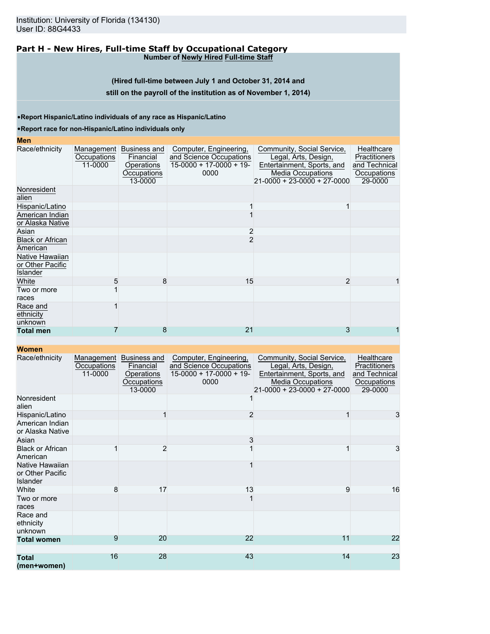### **Part H - New Hires, Full-time Staff by Occupational Category Number of Newly Hired Full-time Staff**

**(Hired full-time between July 1 and October 31, 2014 and**

# **still on the payroll of the institution as of November 1, 2014)**

•**Report Hispanic/Latino individuals of any race as Hispanic/Latino**

### •**Report race for non-Hispanic/Latino individuals only**

# **Men**

| .                                               |                                      |                                                                   |                                                                                       |                                                                                                                                             |                                                                        |
|-------------------------------------------------|--------------------------------------|-------------------------------------------------------------------|---------------------------------------------------------------------------------------|---------------------------------------------------------------------------------------------------------------------------------------------|------------------------------------------------------------------------|
| Race/ethnicity                                  | Management<br>Occupations<br>11-0000 | Business and<br>Financial<br>Operations<br>Occupations<br>13-0000 | Computer, Engineering,<br>and Science Occupations<br>$15-0000 + 17-0000 + 19$<br>0000 | Community, Social Service,<br>Legal, Arts, Design,<br>Entertainment, Sports, and<br><b>Media Occupations</b><br>21-0000 + 23-0000 + 27-0000 | Healthcare<br>Practitioners<br>and Technical<br>Occupations<br>29-0000 |
| Nonresident<br>alien                            |                                      |                                                                   |                                                                                       |                                                                                                                                             |                                                                        |
| Hispanic/Latino                                 |                                      |                                                                   |                                                                                       |                                                                                                                                             |                                                                        |
| American Indian<br>or Alaska Native             |                                      |                                                                   |                                                                                       |                                                                                                                                             |                                                                        |
| Asian                                           |                                      |                                                                   | 2                                                                                     |                                                                                                                                             |                                                                        |
| <b>Black or African</b><br>American             |                                      |                                                                   | 2                                                                                     |                                                                                                                                             |                                                                        |
| Native Hawaiian<br>or Other Pacific<br>Islander |                                      |                                                                   |                                                                                       |                                                                                                                                             |                                                                        |
| White                                           | 5                                    | 8                                                                 | 15                                                                                    | $\overline{2}$                                                                                                                              |                                                                        |
| Two or more<br>races                            |                                      |                                                                   |                                                                                       |                                                                                                                                             |                                                                        |
| Race and<br>ethnicity<br>unknown                |                                      |                                                                   |                                                                                       |                                                                                                                                             |                                                                        |
| <b>Total men</b>                                |                                      | 8                                                                 | 21                                                                                    | 3                                                                                                                                           |                                                                        |
|                                                 |                                      |                                                                   |                                                                                       |                                                                                                                                             |                                                                        |

| Race/ethnicity                                         | Management<br>Occupations<br>11-0000 | Business and<br>Financial<br>Operations<br>Occupations<br>13-0000 | Computer, Engineering,<br>and Science Occupations<br>$15-0000 + 17-0000 + 19$<br>0000 | Community, Social Service,<br>Legal, Arts, Design,<br>Entertainment, Sports, and<br><b>Media Occupations</b><br>$21-0000 + 23-0000 + 27-0000$ | Healthcare<br><b>Practitioners</b><br>and Technical<br>Occupations<br>29-0000 |
|--------------------------------------------------------|--------------------------------------|-------------------------------------------------------------------|---------------------------------------------------------------------------------------|-----------------------------------------------------------------------------------------------------------------------------------------------|-------------------------------------------------------------------------------|
| Nonresident<br>alien                                   |                                      |                                                                   |                                                                                       |                                                                                                                                               |                                                                               |
| Hispanic/Latino<br>American Indian<br>or Alaska Native |                                      |                                                                   | $\overline{2}$                                                                        |                                                                                                                                               | 3                                                                             |
| Asian                                                  |                                      |                                                                   | 3                                                                                     |                                                                                                                                               |                                                                               |
| <b>Black or African</b><br>American                    |                                      | $\overline{2}$                                                    |                                                                                       |                                                                                                                                               | 3                                                                             |
| Native Hawaiian<br>or Other Pacific<br><b>Islander</b> |                                      |                                                                   |                                                                                       |                                                                                                                                               |                                                                               |
| White                                                  | 8                                    | 17                                                                | 13                                                                                    | 9                                                                                                                                             | 16                                                                            |
| Two or more<br>races                                   |                                      |                                                                   |                                                                                       |                                                                                                                                               |                                                                               |
| Race and<br>ethnicity<br>unknown                       |                                      |                                                                   |                                                                                       |                                                                                                                                               |                                                                               |
| <b>Total women</b>                                     | 9                                    | 20                                                                | 22                                                                                    | 11                                                                                                                                            | 22                                                                            |
|                                                        |                                      |                                                                   |                                                                                       |                                                                                                                                               |                                                                               |
| <b>Total</b><br>(men+women)                            | 16                                   | 28                                                                | 43                                                                                    | 14                                                                                                                                            | 23                                                                            |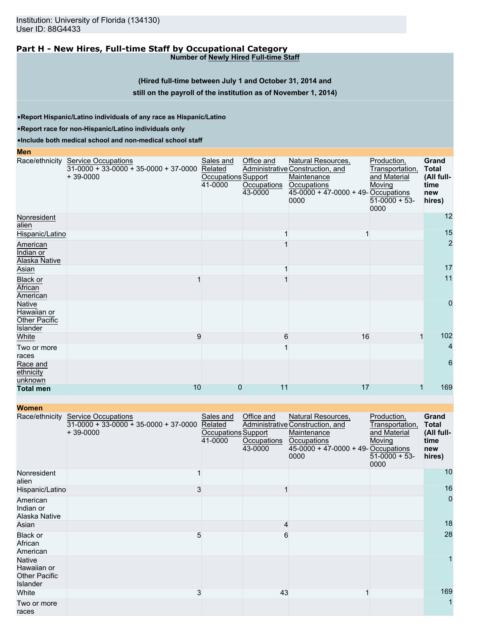# **Part H - New Hires, Full-time Staff by Occupational Category**

**Number of Newly Hired Full-time Staff**

### **(Hired full-time between July 1 and October 31, 2014 and**

### **still on the payroll of the institution as of November 1, 2014)**

•**Report Hispanic/Latino individuals of any race as Hispanic/Latino**

•**Report race for non-Hispanic/Latino individuals only**

•**Include both medical school and non-medical school staff**

| <b>Men</b>                                         |                                                                                             |                                                        |                                      |                                                                                                                                        |                                                                                     |                                                                     |
|----------------------------------------------------|---------------------------------------------------------------------------------------------|--------------------------------------------------------|--------------------------------------|----------------------------------------------------------------------------------------------------------------------------------------|-------------------------------------------------------------------------------------|---------------------------------------------------------------------|
|                                                    | Race/ethnicity Service Occupations<br>$31-0000 + 33-0000 + 35-0000 + 37-0000$<br>$+39-0000$ | Sales and<br>Related<br>Occupations Support<br>41-0000 | Office and<br>Occupations<br>43-0000 | Natural Resources,<br>Administrative Construction, and<br>Maintenance<br>Occupations<br>$45-0000 + 47-0000 + 49 -$ Occupations<br>0000 | Production,<br>Transportation,<br>and Material<br>Moving<br>$51-0000 + 53-$<br>0000 | <b>Grand</b><br><b>Total</b><br>(All full-<br>time<br>new<br>hires) |
| Nonresident<br>alien                               |                                                                                             |                                                        |                                      |                                                                                                                                        |                                                                                     | 12                                                                  |
| Hispanic/Latino                                    |                                                                                             |                                                        |                                      |                                                                                                                                        |                                                                                     | 15                                                                  |
| American<br>Indian or<br>Alaska Native             |                                                                                             |                                                        |                                      |                                                                                                                                        |                                                                                     | $\overline{2}$                                                      |
| Asian                                              |                                                                                             |                                                        |                                      |                                                                                                                                        |                                                                                     | 17                                                                  |
| <b>Black or</b><br>African<br>American             |                                                                                             |                                                        |                                      |                                                                                                                                        |                                                                                     | 11                                                                  |
| Native<br>Hawaiian or<br>Other Pacific<br>Islander |                                                                                             |                                                        |                                      |                                                                                                                                        |                                                                                     | 0                                                                   |
| White                                              | 9                                                                                           |                                                        | 6                                    | 16                                                                                                                                     |                                                                                     | 102                                                                 |
| Two or more<br>races                               |                                                                                             |                                                        |                                      |                                                                                                                                        |                                                                                     | 4                                                                   |
| Race and<br>ethnicity<br>unknown                   |                                                                                             |                                                        |                                      |                                                                                                                                        |                                                                                     | 6                                                                   |
| <b>Total men</b>                                   | 10                                                                                          | 0                                                      | 11                                   | 17                                                                                                                                     |                                                                                     | 169                                                                 |

| <b>Women</b>                                                     |                                                                                     |                                                        |                                      |                                                                                                                                        |                                                                                    |                                                              |
|------------------------------------------------------------------|-------------------------------------------------------------------------------------|--------------------------------------------------------|--------------------------------------|----------------------------------------------------------------------------------------------------------------------------------------|------------------------------------------------------------------------------------|--------------------------------------------------------------|
| Race/ethnicity                                                   | <b>Service Occupations</b><br>$31-0000 + 33-0000 + 35-0000 + 37-0000$<br>$+39-0000$ | Sales and<br>Related<br>Occupations Support<br>41-0000 | Office and<br>Occupations<br>43-0000 | Natural Resources,<br>Administrative Construction, and<br>Maintenance<br>Occupations<br>$45-0000 + 47-0000 + 49 -$ Occupations<br>0000 | Production,<br>Transportation,<br>and Material<br>Moving<br>$51-0000 + 53$<br>0000 | Grand<br><b>Total</b><br>(All full-<br>time<br>new<br>hires) |
| Nonresident<br>alien                                             |                                                                                     |                                                        |                                      |                                                                                                                                        |                                                                                    | 10                                                           |
| Hispanic/Latino                                                  | 3                                                                                   |                                                        |                                      |                                                                                                                                        |                                                                                    | 16                                                           |
| American<br>Indian or<br>Alaska Native                           |                                                                                     |                                                        |                                      |                                                                                                                                        |                                                                                    | $\mathbf{0}$                                                 |
| Asian                                                            |                                                                                     |                                                        | 4                                    |                                                                                                                                        |                                                                                    | 18                                                           |
| Black or<br>African<br>American                                  | 5                                                                                   |                                                        | 6                                    |                                                                                                                                        |                                                                                    | 28                                                           |
| <b>Native</b><br>Hawaiian or<br><b>Other Pacific</b><br>Islander |                                                                                     |                                                        |                                      |                                                                                                                                        |                                                                                    |                                                              |
| White                                                            | 3                                                                                   |                                                        | 43                                   |                                                                                                                                        |                                                                                    | 169                                                          |
| Two or more<br>races                                             |                                                                                     |                                                        |                                      |                                                                                                                                        |                                                                                    | $\mathbf{1}$                                                 |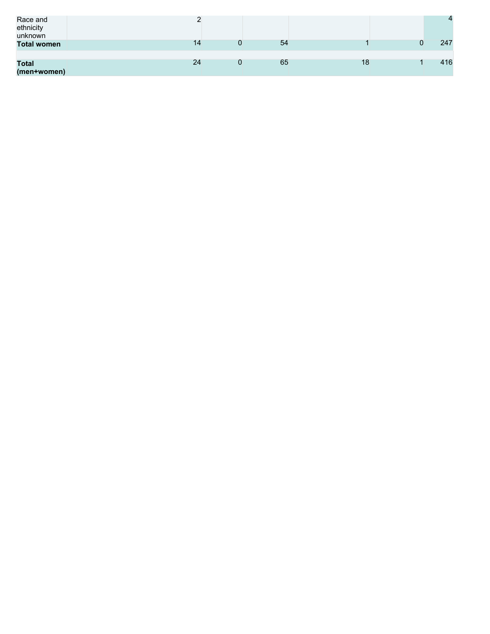| Race and<br>ethnicity<br>unknown<br><b>Total women</b> | 14 | 54 |    | $\overline{4}$<br>247 |
|--------------------------------------------------------|----|----|----|-----------------------|
| <b>Total</b><br>(men+women)                            | 24 | 65 | 18 | 416                   |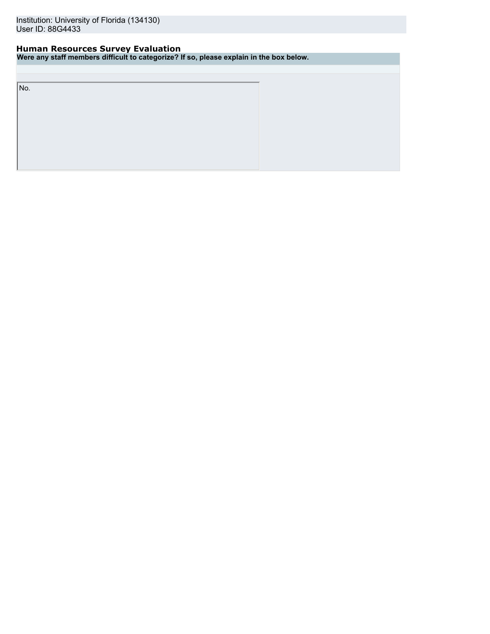# **Human Resources Survey Evaluation**

**Were any staff members difficult to categorize? If so, please explain in the box below.**

No.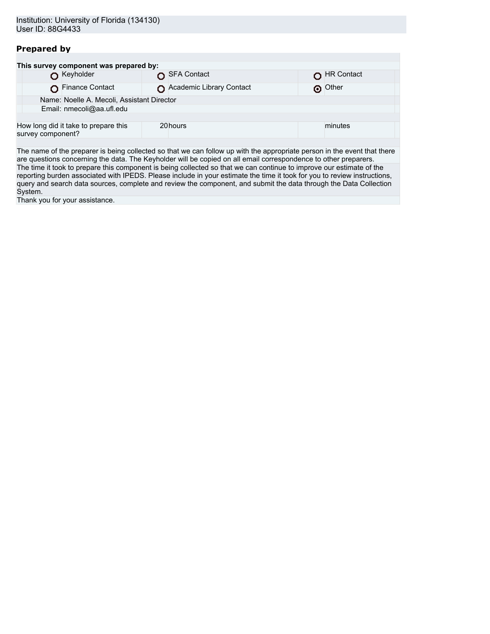# **Prepared by**

|                   | This survey component was prepared by:     |                          |                   |
|-------------------|--------------------------------------------|--------------------------|-------------------|
|                   | Keyholder                                  | SFA Contact              | <b>HR Contact</b> |
|                   | Finance Contact                            | Academic Library Contact | o Other           |
|                   | Name: Noelle A. Mecoli, Assistant Director |                          |                   |
|                   | Email: nmecoli@aa.ufl.edu                  |                          |                   |
|                   |                                            |                          |                   |
| survey component? | How long did it take to prepare this       | 20 hours                 | minutes           |
|                   |                                            |                          |                   |

The name of the preparer is being collected so that we can follow up with the appropriate person in the event that there are questions concerning the data. The Keyholder will be copied on all email correspondence to other preparers. The time it took to prepare this component is being collected so that we can continue to improve our estimate of the reporting burden associated with IPEDS. Please include in your estimate the time it took for you to review instructions, query and search data sources, complete and review the component, and submit the data through the Data Collection System.

Thank you for your assistance.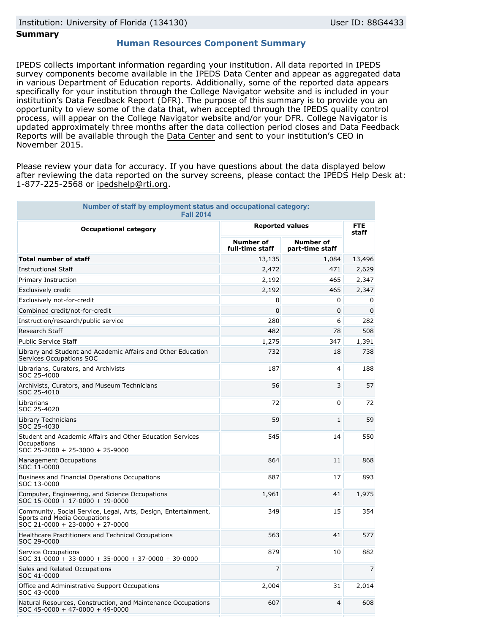### **Summary**

### **Human Resources Component Summary**

IPEDS collects important information regarding your institution. All data reported in IPEDS survey components become available in the IPEDS Data Center and appear as aggregated data in various Department of Education reports. Additionally, some of the reported data appears specifically for your institution through the College Navigator website and is included in your institution's Data Feedback Report (DFR). The purpose of this summary is to provide you an opportunity to view some of the data that, when accepted through the IPEDS quality control process, will appear on the College Navigator website and/or your DFR. College Navigator is updated approximately three months after the data collection period closes and Data Feedback Reports will be available through the [Data Center](http://nces.ed.gov/ipeds/datacenter/) and sent to your institution's CEO in November 2015.

Please review your data for accuracy. If you have questions about the data displayed below after reviewing the data reported on the survey screens, please contact the IPEDS Help Desk at: 1-877-225-2568 or ipedshelp@rti.org.

| Number of staff by employment status and occupational category:<br><b>Fall 2014</b>                                               |                                     |                                     |                     |  |
|-----------------------------------------------------------------------------------------------------------------------------------|-------------------------------------|-------------------------------------|---------------------|--|
| <b>Occupational category</b>                                                                                                      | <b>Reported values</b>              |                                     | <b>FTE</b><br>staff |  |
|                                                                                                                                   | <b>Number of</b><br>full-time staff | <b>Number of</b><br>part-time staff |                     |  |
| <b>Total number of staff</b>                                                                                                      | 13,135                              | 1,084                               | 13,496              |  |
| <b>Instructional Staff</b>                                                                                                        | 2,472                               | 471                                 | 2,629               |  |
| Primary Instruction                                                                                                               | 2,192                               | 465                                 | 2,347               |  |
| Exclusively credit                                                                                                                | 2,192                               | 465                                 | 2,347               |  |
| Exclusively not-for-credit                                                                                                        | 0                                   | 0                                   | 0                   |  |
| Combined credit/not-for-credit                                                                                                    | $\Omega$                            | 0                                   | 0                   |  |
| Instruction/research/public service                                                                                               | 280                                 | 6                                   | 282                 |  |
| Research Staff                                                                                                                    | 482                                 | 78                                  | 508                 |  |
| <b>Public Service Staff</b>                                                                                                       | 1,275                               | 347                                 | 1,391               |  |
| Library and Student and Academic Affairs and Other Education<br>Services Occupations SOC                                          | 732                                 | 18                                  | 738                 |  |
| Librarians, Curators, and Archivists<br>SOC 25-4000                                                                               | 187                                 | 4                                   | 188                 |  |
| Archivists, Curators, and Museum Technicians<br>SOC 25-4010                                                                       | 56                                  | 3                                   | 57                  |  |
| Librarians<br>SOC 25-4020                                                                                                         | 72                                  | 0                                   | 72                  |  |
| Library Technicians<br>SOC 25-4030                                                                                                | 59                                  | $\mathbf{1}$                        | 59                  |  |
| Student and Academic Affairs and Other Education Services<br>Occupations<br>SOC 25-2000 + 25-3000 + 25-9000                       | 545                                 | 14                                  | 550                 |  |
| <b>Management Occupations</b><br>SOC 11-0000                                                                                      | 864                                 | 11                                  | 868                 |  |
| Business and Financial Operations Occupations<br>SOC 13-0000                                                                      | 887                                 | 17                                  | 893                 |  |
| Computer, Engineering, and Science Occupations<br>SOC 15-0000 + 17-0000 + 19-0000                                                 | 1,961                               | 41                                  | 1,975               |  |
| Community, Social Service, Legal, Arts, Design, Entertainment,<br>Sports and Media Occupations<br>SOC 21-0000 + 23-0000 + 27-0000 | 349                                 | 15                                  | 354                 |  |
| Healthcare Practitioners and Technical Occupations<br>SOC 29-0000                                                                 | 563                                 | 41                                  | 577                 |  |
| Service Occupations<br>$SOC$ 31-0000 + 33-0000 + 35-0000 + 37-0000 + 39-0000                                                      | 879                                 | 10                                  | 882                 |  |
| Sales and Related Occupations<br>SOC 41-0000                                                                                      | $\overline{7}$                      |                                     | 7                   |  |
| Office and Administrative Support Occupations<br>SOC 43-0000                                                                      | 2,004                               | 31                                  | 2,014               |  |
| Natural Resources, Construction, and Maintenance Occupations<br>$SOC$ 45-0000 + 47-0000 + 49-0000                                 | 607                                 | 4                                   | 608                 |  |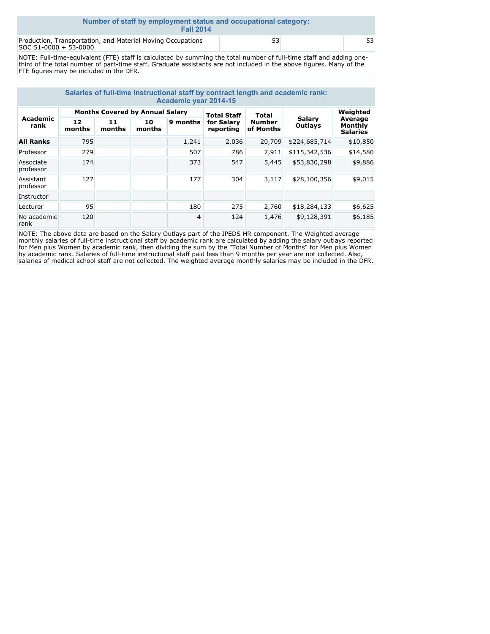| Number of staff by employment status and occupational category:<br><b>Fall 2014</b>  |    |  |    |  |  |  |
|--------------------------------------------------------------------------------------|----|--|----|--|--|--|
| Production, Transportation, and Material Moving Occupations<br>SOC 51-0000 + 53-0000 | 53 |  | 53 |  |  |  |

NOTE: Full-time-equivalent (FTE) staff is calculated by summing the total number of full-time staff and adding onethird of the total number of part-time staff. Graduate assistants are not included in the above figures. Many of the FTE figures may be included in the DFR.

| Salaries of full-time instructional staff by contract length and academic rank:<br><b>Academic year 2014-15</b> |                                        |              |              |          |                         |                            |                          |                                       |  |
|-----------------------------------------------------------------------------------------------------------------|----------------------------------------|--------------|--------------|----------|-------------------------|----------------------------|--------------------------|---------------------------------------|--|
| Academic<br>rank                                                                                                | <b>Months Covered by Annual Salary</b> |              |              |          | <b>Total Staff</b>      | Total                      |                          | Weighted                              |  |
|                                                                                                                 | 12<br>months                           | 11<br>months | 10<br>months | 9 months | for Salary<br>reporting | <b>Number</b><br>of Months | <b>Salarv</b><br>Outlays | Average<br>Monthly<br><b>Salaries</b> |  |
| <b>All Ranks</b>                                                                                                | 795                                    |              |              | 1,241    | 2,036                   | 20,709                     | \$224,685,714            | \$10,850                              |  |
| Professor                                                                                                       | 279                                    |              |              | 507      | 786                     | 7,911                      | \$115,342,536            | \$14,580                              |  |
| Associate<br>professor                                                                                          | 174                                    |              |              | 373      | 547                     | 5,445                      | \$53,830,298             | \$9,886                               |  |
| Assistant<br>professor                                                                                          | 127                                    |              |              | 177      | 304                     | 3,117                      | \$28,100,356             | \$9,015                               |  |
| Instructor                                                                                                      |                                        |              |              |          |                         |                            |                          |                                       |  |
| Lecturer                                                                                                        | 95                                     |              |              | 180      | 275                     | 2,760                      | \$18,284,133             | \$6,625                               |  |
| No academic<br>rank                                                                                             | 120                                    |              |              | 4        | 124                     | 1,476                      | \$9,128,391              | \$6,185                               |  |

NOTE: The above data are based on the Salary Outlays part of the IPEDS HR component. The Weighted average monthly salaries of full-time instructional staff by academic rank are calculated by adding the salary outlays reported for Men plus Women by academic rank, then dividing the sum by the "Total Number of Months" for Men plus Women by academic rank. Salaries of full-time instructional staff paid less than 9 months per year are not collected. Also, salaries of medical school staff are not collected. The weighted average monthly salaries may be included in the DFR.